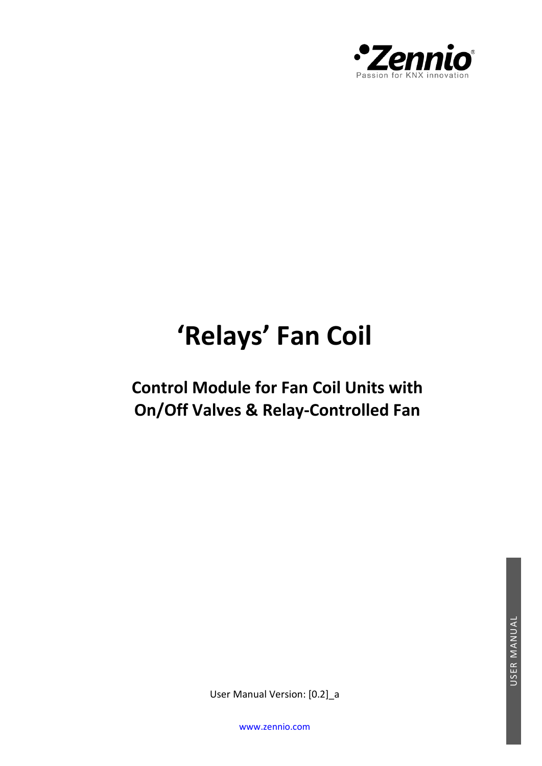

# **'Relays' Fan Coil**

# **Control Module for Fan Coil Units with On/Off Valves & Relay-Controlled Fan**

User Manual Version: [0.2]\_a

[www.zennio.com](http://zennio.com/)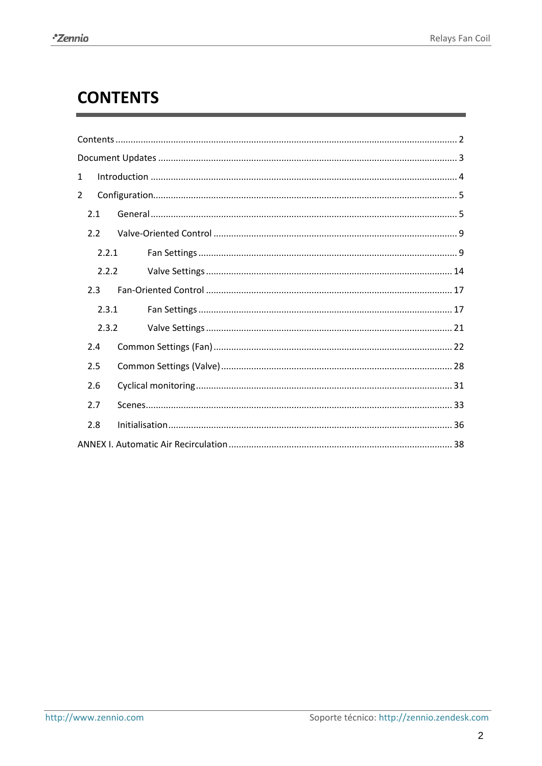# <span id="page-1-0"></span>**CONTENTS**

| $\mathbf 1$ |  |  |  |  |
|-------------|--|--|--|--|
| 2           |  |  |  |  |
| 2.1         |  |  |  |  |
| 2.2         |  |  |  |  |
| 2.2.1       |  |  |  |  |
| 2.2.2       |  |  |  |  |
| 2.3         |  |  |  |  |
| 2.3.1       |  |  |  |  |
| 2.3.2       |  |  |  |  |
| 2.4         |  |  |  |  |
| 2.5         |  |  |  |  |
| 2.6         |  |  |  |  |
| 2.7         |  |  |  |  |
| 2.8         |  |  |  |  |
|             |  |  |  |  |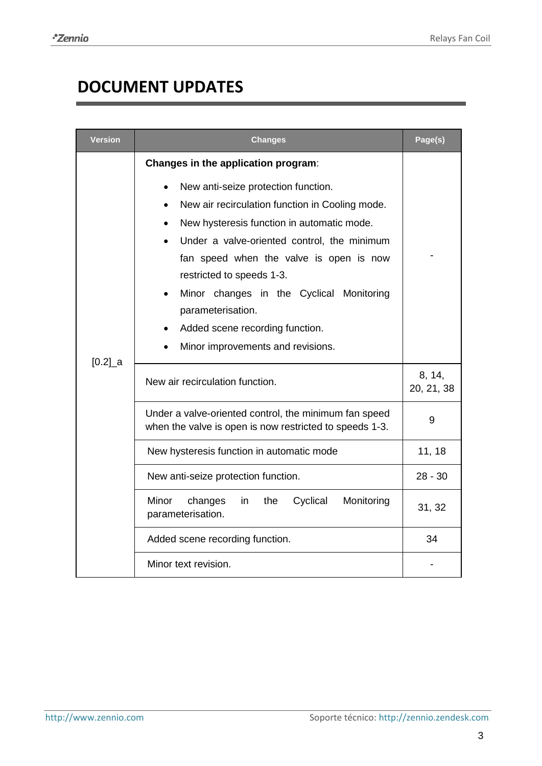# <span id="page-2-0"></span>**DOCUMENT UPDATES**

| <b>Version</b>       | Changes                                                                                                                                                                                                                                                                                                                                                             | Page(s)              |
|----------------------|---------------------------------------------------------------------------------------------------------------------------------------------------------------------------------------------------------------------------------------------------------------------------------------------------------------------------------------------------------------------|----------------------|
|                      | Changes in the application program:<br>New anti-seize protection function.<br>New air recirculation function in Cooling mode.<br>New hysteresis function in automatic mode.<br>Under a valve-oriented control, the minimum<br>fan speed when the valve is open is now<br>restricted to speeds 1-3.<br>Minor changes in the Cyclical Monitoring<br>parameterisation. |                      |
|                      | Added scene recording function.<br>Minor improvements and revisions.                                                                                                                                                                                                                                                                                                |                      |
| $[0.2]$ <sup>a</sup> | New air recirculation function.                                                                                                                                                                                                                                                                                                                                     | 8, 14,<br>20, 21, 38 |
|                      | Under a valve-oriented control, the minimum fan speed<br>when the valve is open is now restricted to speeds 1-3.                                                                                                                                                                                                                                                    | 9                    |
|                      | New hysteresis function in automatic mode                                                                                                                                                                                                                                                                                                                           | 11, 18               |
|                      | New anti-seize protection function.                                                                                                                                                                                                                                                                                                                                 | $28 - 30$            |
|                      | Monitoring<br>Minor<br>the<br>Cyclical<br>changes<br>in<br>parameterisation.                                                                                                                                                                                                                                                                                        | 31, 32               |
|                      | Added scene recording function.                                                                                                                                                                                                                                                                                                                                     | 34                   |
|                      | Minor text revision.                                                                                                                                                                                                                                                                                                                                                |                      |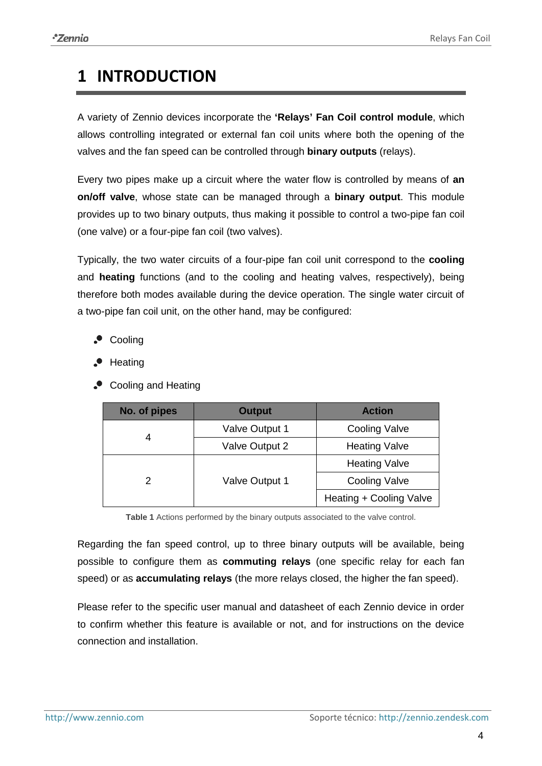# <span id="page-3-0"></span>**1 INTRODUCTION**

A variety of Zennio devices incorporate the **'Relays' Fan Coil control module**, which allows controlling integrated or external fan coil units where both the opening of the valves and the fan speed can be controlled through **binary outputs** (relays).

Every two pipes make up a circuit where the water flow is controlled by means of **an on/off valve**, whose state can be managed through a **binary output**. This module provides up to two binary outputs, thus making it possible to control a two-pipe fan coil (one valve) or a four-pipe fan coil (two valves).

Typically, the two water circuits of a four-pipe fan coil unit correspond to the **cooling** and **heating** functions (and to the cooling and heating valves, respectively), being therefore both modes available during the device operation. The single water circuit of a two-pipe fan coil unit, on the other hand, may be configured:

- Cooling
- Heating
- Cooling and Heating

| No. of pipes | <b>Output</b>  | <b>Action</b>           |
|--------------|----------------|-------------------------|
|              | Valve Output 1 | <b>Cooling Valve</b>    |
|              | Valve Output 2 | <b>Heating Valve</b>    |
|              | Valve Output 1 | <b>Heating Valve</b>    |
|              |                | <b>Cooling Valve</b>    |
|              |                | Heating + Cooling Valve |

**Table 1** Actions performed by the binary outputs associated to the valve control.

Regarding the fan speed control, up to three binary outputs will be available, being possible to configure them as **commuting relays** (one specific relay for each fan speed) or as **accumulating relays** (the more relays closed, the higher the fan speed).

Please refer to the specific user manual and datasheet of each Zennio device in order to confirm whether this feature is available or not, and for instructions on the device connection and installation.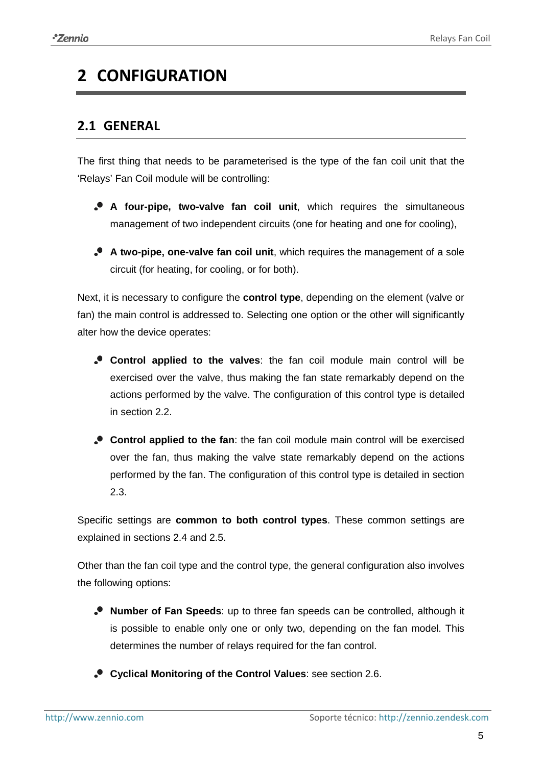# <span id="page-4-0"></span>**2 CONFIGURATION**

### <span id="page-4-1"></span>**2.1 GENERAL**

The first thing that needs to be parameterised is the type of the fan coil unit that the 'Relays' Fan Coil module will be controlling:

- **A four-pipe, two-valve fan coil unit**, which requires the simultaneous management of two independent circuits (one for heating and one for cooling),
- **A two-pipe, one-valve fan coil unit**, which requires the management of a sole circuit (for heating, for cooling, or for both).

Next, it is necessary to configure the **control type**, depending on the element (valve or fan) the main control is addressed to. Selecting one option or the other will significantly alter how the device operates:

- **Control applied to the valves**: the fan coil module main control will be exercised over the valve, thus making the fan state remarkably depend on the actions performed by the valve. The configuration of this control type is detailed in section [2.2.](#page-8-0)
- **Control applied to the fan**: the fan coil module main control will be exercised over the fan, thus making the valve state remarkably depend on the actions performed by the fan. The configuration of this control type is detailed in section [2.3.](#page-16-0)

Specific settings are **common to both control types**. These common settings are explained in sections [2.4](#page-21-0) and [2.5.](#page-27-0)

Other than the fan coil type and the control type, the general configuration also involves the following options:

- **Number of Fan Speeds**: up to three fan speeds can be controlled, although it is possible to enable only one or only two, depending on the fan model. This determines the number of relays required for the fan control.
- **Cyclical Monitoring of the Control Values**: see section [2.6.](#page-30-0)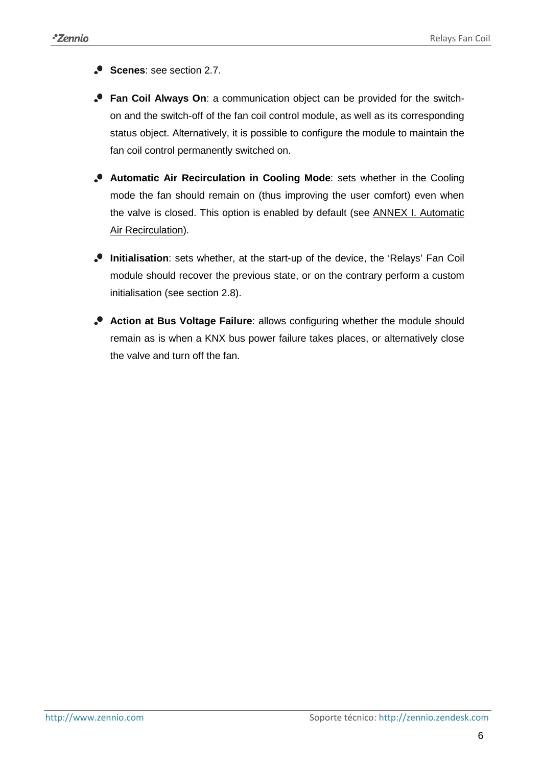**Scenes: see section [2.7.](#page-32-0)** 

- **Fan Coil Always On**: a communication object can be provided for the switchon and the switch-off of the fan coil control module, as well as its corresponding status object. Alternatively, it is possible to configure the module to maintain the fan coil control permanently switched on.
- **Automatic Air Recirculation in Cooling Mode**: sets whether in the Cooling mode the fan should remain on (thus improving the user comfort) even when the valve is closed. This option is enabled by default (see [ANNEX I. Automatic](#page-37-0)  [Air Recirculation\)](#page-37-0).
- **Initialisation**: sets whether, at the start-up of the device, the 'Relays' Fan Coil module should recover the previous state, or on the contrary perform a custom initialisation (see section [2.8\)](#page-34-0).
- **Action at Bus Voltage Failure**: allows configuring whether the module should remain as is when a KNX bus power failure takes places, or alternatively close the valve and turn off the fan.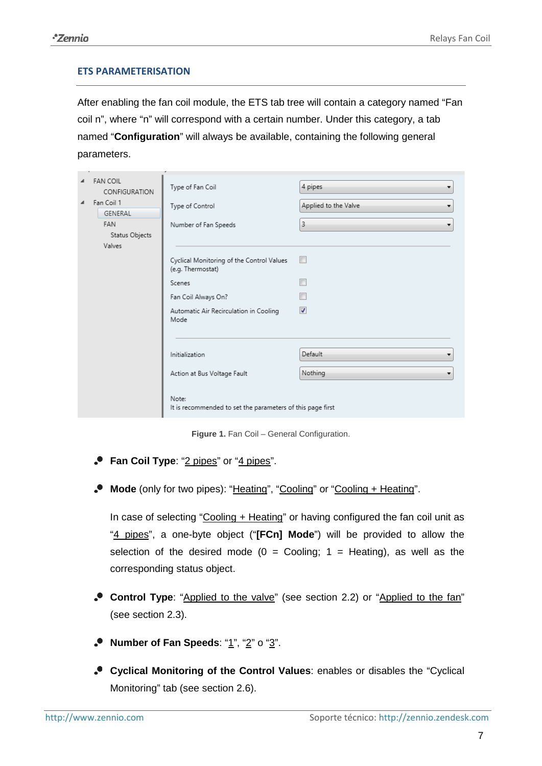#### **ETS PARAMETERISATION**

After enabling the fan coil module, the ETS tab tree will contain a category named "Fan coil n", where "n" will correspond with a certain number. Under this category, a tab named "**Configuration**" will always be available, containing the following general parameters.

| $\blacktriangle$ | <b>FAN COIL</b><br>CONFIGURATION | Type of Fan Coil                                                    | 4 pipes<br>▼              |
|------------------|----------------------------------|---------------------------------------------------------------------|---------------------------|
| $\blacktriangle$ | Fan Coil 1<br>GENERAL            | Type of Control                                                     | Applied to the Valve<br>▼ |
|                  | FAN<br>Status Objects            | Number of Fan Speeds                                                | 3                         |
|                  | Valves                           |                                                                     |                           |
|                  |                                  | Cyclical Monitoring of the Control Values<br>(e.g. Thermostat)      | $\Box$                    |
|                  |                                  | Scenes                                                              | $\blacksquare$            |
|                  |                                  | Fan Coil Always On?                                                 |                           |
|                  |                                  | Automatic Air Recirculation in Cooling<br>Mode                      | $\blacktriangledown$      |
|                  |                                  | Initialization                                                      | Default<br>▼              |
|                  |                                  | Action at Bus Voltage Fault                                         | Nothing                   |
|                  |                                  | Note:<br>It is recommended to set the parameters of this page first |                           |

**Figure 1.** Fan Coil – General Configuration.

- **P** Fan Coil Type: "2 pipes" or "4 pipes".
- **Mode** (only for two pipes): "Heating", "Cooling" or "Cooling + Heating".

In case of selecting "Cooling + Heating" or having configured the fan coil unit as "4 pipes", a one-byte object ("**[FCn] Mode**") will be provided to allow the selection of the desired mode ( $0 =$  Cooling;  $1 =$  Heating), as well as the corresponding status object.

- **Control Type**: "Applied to the valve" (see section [2.2\)](#page-8-0) or "Applied to the fan" (see section [2.3\)](#page-16-0).
- **Number of Fan Speeds**: "1", "2" o "3".
- **Cyclical Monitoring of the Control Values**: enables or disables the "Cyclical Monitoring" tab (see section [2.6\)](#page-30-0).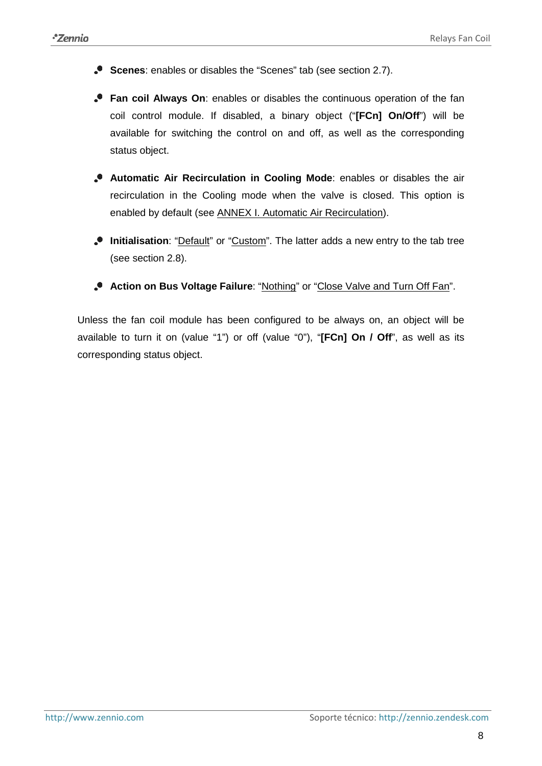- **Scenes**: enables or disables the "Scenes" tab (see section [2.7\)](#page-32-0).
- **Fan coil Always On**: enables or disables the continuous operation of the fan coil control module. If disabled, a binary object ("**[FCn] On/Off**") will be available for switching the control on and off, as well as the corresponding status object.
- **Automatic Air Recirculation in Cooling Mode**: enables or disables the air recirculation in the Cooling mode when the valve is closed. This option is enabled by default (see ANNEX I. [Automatic Air Recirculation\)](#page-37-0).
- **Initialisation**: "Default" or "Custom". The latter adds a new entry to the tab tree (see section [2.8\)](#page-34-0).
- **Action on Bus Voltage Failure**: "Nothing" or "Close Valve and Turn Off Fan".

Unless the fan coil module has been configured to be always on, an object will be available to turn it on (value "1") or off (value "0"), "**[FCn] On / Off**", as well as its corresponding status object.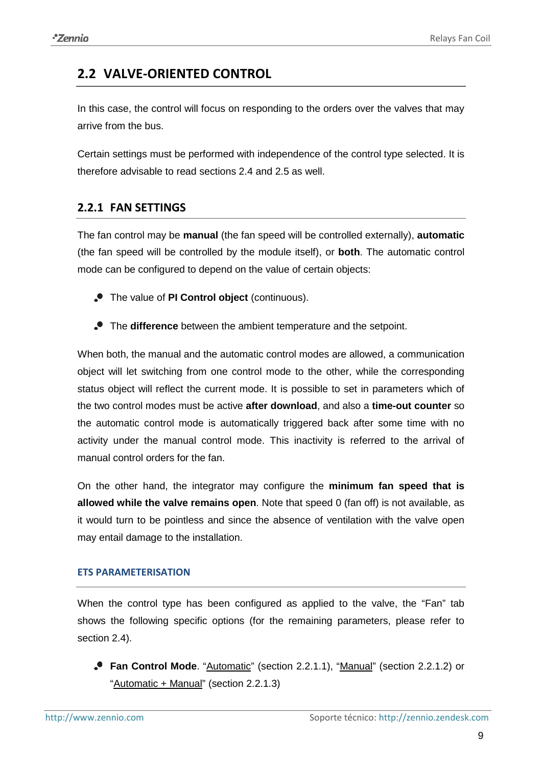# <span id="page-8-0"></span>**2.2 VALVE-ORIENTED CONTROL**

In this case, the control will focus on responding to the orders over the valves that may arrive from the bus.

Certain settings must be performed with independence of the control type selected. It is therefore advisable to read sections [2.4](#page-21-0) and [2.5](#page-27-0) as well.

#### <span id="page-8-1"></span>**2.2.1 FAN SETTINGS**

The fan control may be **manual** (the fan speed will be controlled externally), **automatic** (the fan speed will be controlled by the module itself), or **both**. The automatic control mode can be configured to depend on the value of certain objects:

- The value of **PI Control object** (continuous).
- The **difference** between the ambient temperature and the setpoint.

When both, the manual and the automatic control modes are allowed, a communication object will let switching from one control mode to the other, while the corresponding status object will reflect the current mode. It is possible to set in parameters which of the two control modes must be active **after download**, and also a **time-out counter** so the automatic control mode is automatically triggered back after some time with no activity under the manual control mode. This inactivity is referred to the arrival of manual control orders for the fan.

On the other hand, the integrator may configure the **minimum fan speed that is allowed while the valve remains open**. Note that speed 0 (fan off) is not available, as it would turn to be pointless and since the absence of ventilation with the valve open may entail damage to the installation.

#### **ETS PARAMETERISATION**

When the control type has been configured as applied to the valve, the "Fan" tab shows the following specific options (for the remaining parameters, please refer to section [2.4\)](#page-21-0).

**Fan Control Mode.** "Automatic" (section [2.2.1.1\)](#page-9-0), "Manual" (section [2.2.1.2\)](#page-12-0) or "Automatic + Manual" (section [2.2.1.3\)](#page-12-1)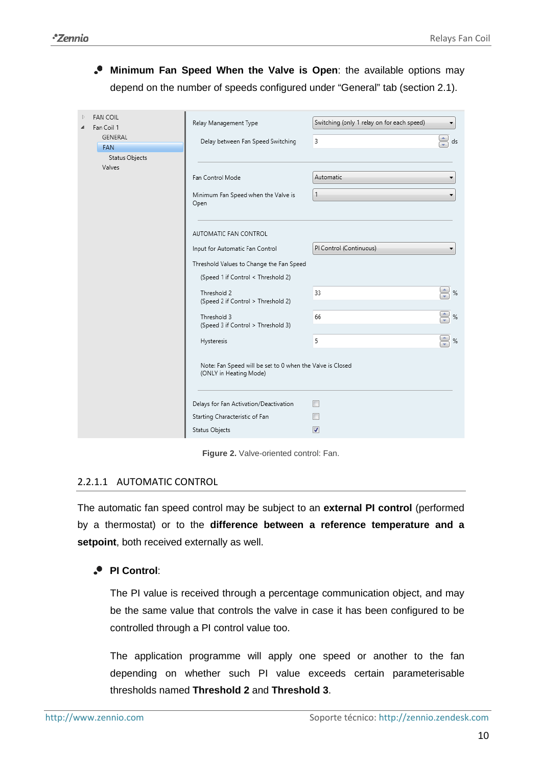**Minimum Fan Speed When the Valve is Open**: the available options may depend on the number of speeds configured under "General" tab (section [2.1\)](#page-4-1).

| <b>FAN COIL</b><br>Fan Coil 1<br>GENERAL<br><b>FAN</b><br>Status Objects<br>Valves | Relay Management Type<br>Delay between Fan Speed Switching                          | Switching (only 1 relay on for each speed)<br>3 | ds                 |
|------------------------------------------------------------------------------------|-------------------------------------------------------------------------------------|-------------------------------------------------|--------------------|
|                                                                                    | Fan Control Mode                                                                    | Automatic                                       |                    |
|                                                                                    | Minimum Fan Speed when the Valve is<br>Open                                         |                                                 | ▼                  |
|                                                                                    | AUTOMATIC FAN CONTROL                                                               |                                                 |                    |
|                                                                                    | Input for Automatic Fan Control                                                     | PI Control (Continuous)                         |                    |
|                                                                                    | Threshold Values to Change the Fan Speed                                            |                                                 |                    |
|                                                                                    | (Speed 1 if Control < Threshold 2)                                                  |                                                 |                    |
|                                                                                    | Threshold 2<br>(Speed 2 if Control > Threshold 2)                                   | 33                                              | $\Rightarrow$ %    |
|                                                                                    | Threshold 3<br>(Speed 3 if Control > Threshold 3)                                   | 66                                              | $\Rightarrow$<br>% |
|                                                                                    | Hysteresis                                                                          | 5                                               | $\xi$ %            |
|                                                                                    | Note: Fan Speed will be set to 0 when the Valve is Closed<br>(ONLY in Heating Mode) |                                                 |                    |
|                                                                                    | Delays for Fan Activation/Deactivation                                              |                                                 |                    |
|                                                                                    | Starting Characteristic of Fan                                                      |                                                 |                    |
|                                                                                    | Status Objects                                                                      | ⊽                                               |                    |

**Figure 2.** Valve-oriented control: Fan.

#### <span id="page-9-0"></span>2.2.1.1 AUTOMATIC CONTROL

The automatic fan speed control may be subject to an **external PI control** (performed by a thermostat) or to the **difference between a reference temperature and a setpoint**, both received externally as well.

#### **PI Control**:

The PI value is received through a percentage communication object, and may be the same value that controls the valve in case it has been configured to be controlled through a PI control value too.

The application programme will apply one speed or another to the fan depending on whether such PI value exceeds certain parameterisable thresholds named **Threshold 2** and **Threshold 3**.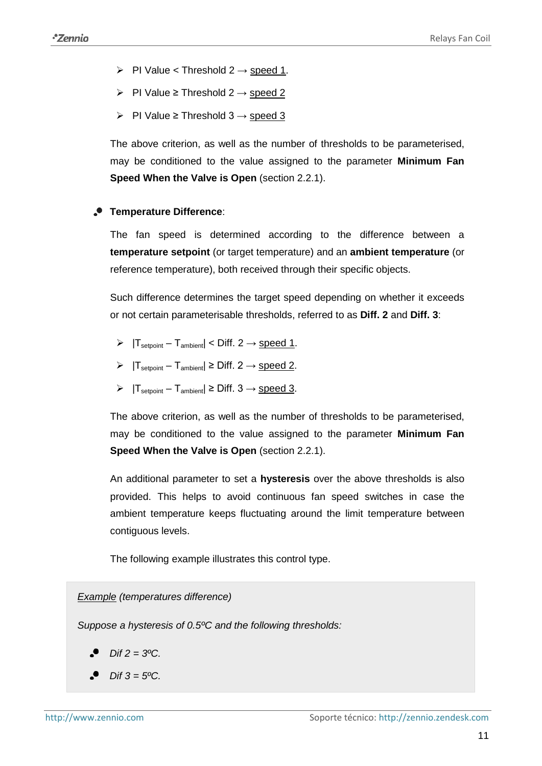- PI Value < Threshold  $2 \rightarrow$  speed 1.
- > PI Value ≥ Threshold  $2 \rightarrow$  speed 2
- $\triangleright$  PI Value ≥ Threshold 3 → speed 3

The above criterion, as well as the number of thresholds to be parameterised, may be conditioned to the value assigned to the parameter **Minimum Fan Speed When the Valve is Open** (section [2.2.1\)](#page-8-1).

#### **Temperature Difference**:

The fan speed is determined according to the difference between a **temperature setpoint** (or target temperature) and an **ambient temperature** (or reference temperature), both received through their specific objects.

Such difference determines the target speed depending on whether it exceeds or not certain parameterisable thresholds, referred to as **Diff. 2** and **Diff. 3**:

- $\triangleright$   $|T_{\text{setpoint}} T_{\text{ambient}}| < \text{Diff. } 2 \rightarrow \text{speed 1}.$
- $\triangleright$   $|T_{\text{setpoint}} T_{\text{ambient}}| \ge \text{Diff. 2} \rightarrow \text{speed 2}.$
- $\triangleright$   $|T_{\text{setpoint}} T_{\text{ambient}}| \ge \text{Diff. } 3 \rightarrow \text{speed } 3.$

The above criterion, as well as the number of thresholds to be parameterised, may be conditioned to the value assigned to the parameter **Minimum Fan Speed When the Valve is Open (section [2.2.1\)](#page-8-1).** 

An additional parameter to set a **hysteresis** over the above thresholds is also provided. This helps to avoid continuous fan speed switches in case the ambient temperature keeps fluctuating around the limit temperature between contiguous levels.

The following example illustrates this control type.

*Example (temperatures difference)*

*Suppose a hysteresis of 0.5ºC and the following thresholds:* 

- *Dif 2 = 3ºC.*
- *Dif 3 = 5ºC.*  $\bullet$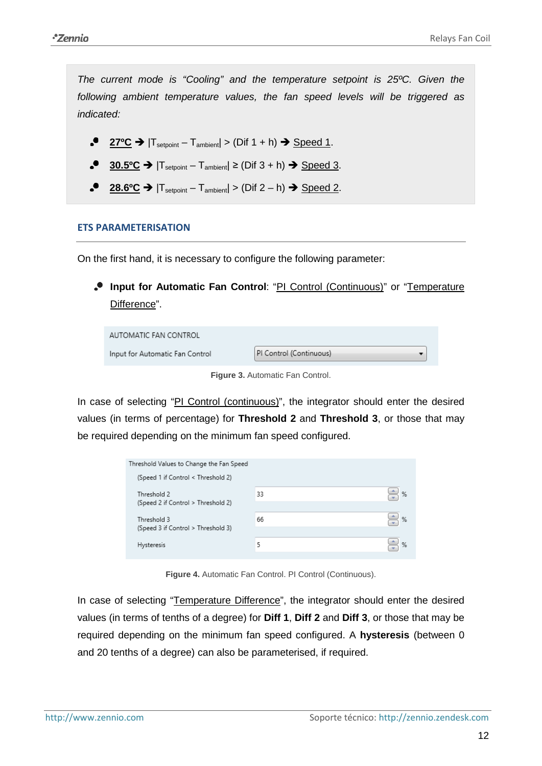*The current mode is "Cooling" and the temperature setpoint is 25ºC. Given the following ambient temperature values, the fan speed levels will be triggered as indicated:* 

- $27^{\circ}C \rightarrow |T_{\text{setpoint}} T_{\text{ambient}}| > (Diff 1 + h) \rightarrow Spec 1$ .
- $30.5$ <sup>o</sup>C →  $|T_{\text{setpoint}} T_{\text{ambient}}| \geq (Diff 3 + h)$  → Speed 3.
- **28.6 °C →**  $|T_{\text{setpoint}} T_{\text{ambient}}|$  > (Dif 2 − h) → Speed 2.

#### **ETS PARAMETERISATION**

On the first hand, it is necessary to configure the following parameter:

**Input for Automatic Fan Control**: "PI Control (Continuous)" or "Temperature Difference".

| AUTOMATIC FAN CONTROL           |                         |  |
|---------------------------------|-------------------------|--|
| Input for Automatic Fan Control | PI Control (Continuous) |  |

**Figure 3.** Automatic Fan Control.

In case of selecting "PI Control (continuous)", the integrator should enter the desired values (in terms of percentage) for **Threshold 2** and **Threshold 3**, or those that may be required depending on the minimum fan speed configured.

| Threshold Values to Change the Fan Speed |    |   |
|------------------------------------------|----|---|
| (Speed 1 if Control < Threshold 2)       |    |   |
| Threshold 2                              | 33 | % |
| (Speed 2 if Control > Threshold 2)       |    |   |
| Threshold 3                              | 66 | % |
| (Speed 3 if Control > Threshold 3)       |    |   |
| <b>Hysteresis</b>                        | 5  | % |
|                                          |    |   |

**Figure 4.** Automatic Fan Control. PI Control (Continuous).

In case of selecting "Temperature Difference", the integrator should enter the desired values (in terms of tenths of a degree) for **Diff 1**, **Diff 2** and **Diff 3**, or those that may be required depending on the minimum fan speed configured. A **hysteresis** (between 0 and 20 tenths of a degree) can also be parameterised, if required.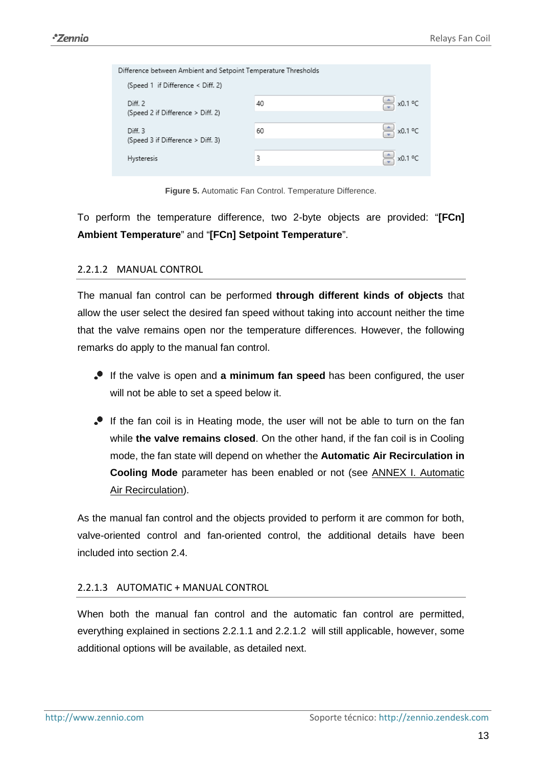| Difference between Ambient and Setpoint Temperature Thresholds |    |                   |  |  |
|----------------------------------------------------------------|----|-------------------|--|--|
| (Speed 1 if Difference < Diff. 2)                              |    |                   |  |  |
| Diff. 2                                                        | 40 | x0.1 °C           |  |  |
| (Speed 2 if Difference > Diff. 2)                              |    |                   |  |  |
| Diff. 3                                                        | 60 | $\approx$ x0.1 °C |  |  |
| (Speed 3 if Difference > Diff. 3)                              |    |                   |  |  |
| Hysteresis                                                     | 3  | x0.1 °C           |  |  |
|                                                                |    |                   |  |  |

**Figure 5.** Automatic Fan Control. Temperature Difference.

To perform the temperature difference, two 2-byte objects are provided: "**[FCn] Ambient Temperature**" and "**[FCn] Setpoint Temperature**".

#### <span id="page-12-0"></span>2.2.1.2 MANUAL CONTROL

The manual fan control can be performed **through different kinds of objects** that allow the user select the desired fan speed without taking into account neither the time that the valve remains open nor the temperature differences. However, the following remarks do apply to the manual fan control.

- If the valve is open and **a minimum fan speed** has been configured, the user will not be able to set a speed below it.
- If the fan coil is in Heating mode, the user will not be able to turn on the fan while **the valve remains closed**. On the other hand, if the fan coil is in Cooling mode, the fan state will depend on whether the **Automatic Air Recirculation in Cooling Mode** parameter has been enabled or not (see [ANNEX I. Automatic](#page-37-0)  [Air Recirculation\)](#page-37-0).

As the manual fan control and the objects provided to perform it are common for both, valve-oriented control and fan-oriented control, the additional details have been included into section [2.4.](#page-21-0)

#### <span id="page-12-1"></span>2.2.1.3 AUTOMATIC + MANUAL CONTROL

When both the manual fan control and the automatic fan control are permitted, everything explained in sections [2.2.1.1](#page-9-0) and [2.2.1.2](#page-12-0) will still applicable, however, some additional options will be available, as detailed next.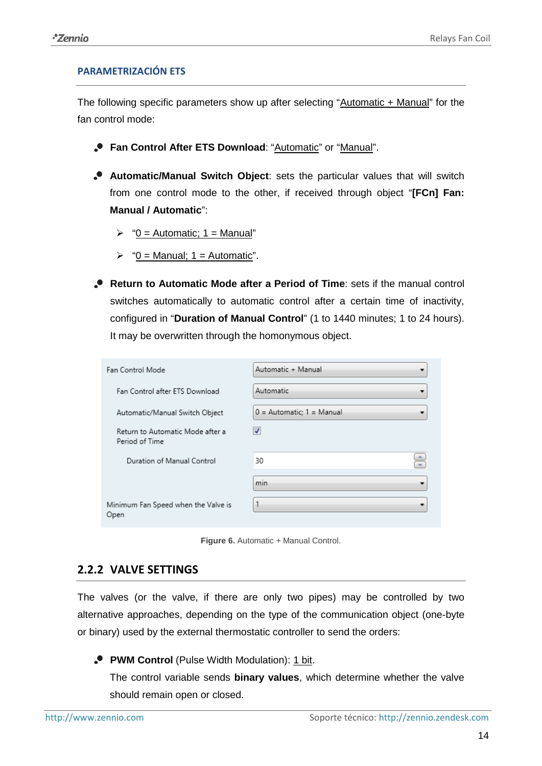#### **PARAMETRIZACIÓN ETS**

The following specific parameters show up after selecting "Automatic + Manual" for the fan control mode:

- **P** Fan Control After ETS Download: "Automatic" or "Manual".
- **Automatic/Manual Switch Object**: sets the particular values that will switch from one control mode to the other, if received through object "**[FCn] Fan: Manual / Automatic**":
	- $\triangleright$  "0 = Automatic; 1 = Manual"
	- $\triangleright$  "0 = Manual; 1 = Automatic".
- **Return to Automatic Mode after a Period of Time**: sets if the manual control switches automatically to automatic control after a certain time of inactivity, configured in "**Duration of Manual Control**" (1 to 1440 minutes; 1 to 24 hours). It may be overwritten through the homonymous object.

| <b>Fan Control Mode</b>                            | Automatic + Manual          |
|----------------------------------------------------|-----------------------------|
| Fan Control after ETS Download                     | Automatic                   |
| Automatic/Manual Switch Object                     | $0 =$ Automatic; 1 = Manual |
| Return to Automatic Mode after a<br>Period of Time | V                           |
| Duration of Manual Control                         | ÷<br>30                     |
|                                                    | $\sim$<br>min               |
| Minimum Fan Speed when the Valve is<br>Open        |                             |

Figure 6. Automatic + Manual Control.

#### <span id="page-13-0"></span>**2.2.2 VALVE SETTINGS**

The valves (or the valve, if there are only two pipes) may be controlled by two alternative approaches, depending on the type of the communication object (one-byte or binary) used by the external thermostatic controller to send the orders:

**PWM Control** (Pulse Width Modulation): 1 bit.

The control variable sends **binary values**, which determine whether the valve should remain open or closed.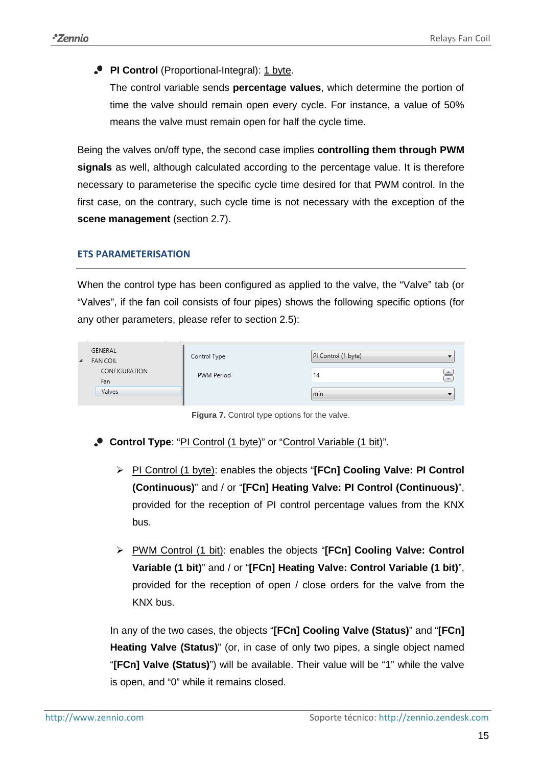**PI Control** (Proportional-Integral): 1 byte.

The control variable sends **percentage values**, which determine the portion of time the valve should remain open every cycle. For instance, a value of 50% means the valve must remain open for half the cycle time.

Being the valves on/off type, the second case implies **controlling them through PWM signals** as well, although calculated according to the percentage value. It is therefore necessary to parameterise the specific cycle time desired for that PWM control. In the first case, on the contrary, such cycle time is not necessary with the exception of the **scene management** (section [2.7\)](#page-32-0).

#### **ETS PARAMETERISATION**

When the control type has been configured as applied to the valve, the "Valve" tab (or "Valves", if the fan coil consists of four pipes) shows the following specific options (for any other parameters, please refer to section [2.5\)](#page-27-0):

| $\blacktriangle$ | GENERAL<br><b>FAN COIL</b><br>CONFIGURATION<br>Fan | Control Type<br>PWM Period | PI Control (1 byte)<br>$\Rightarrow$<br>14 |  |
|------------------|----------------------------------------------------|----------------------------|--------------------------------------------|--|
|                  | Valves                                             |                            | min                                        |  |

**Figura 7.** Control type options for the valve.

- **Control Type**: "PI Control (1 byte)" or "Control Variable (1 bit)".
	- PI Control (1 byte): enables the objects "**[FCn] Cooling Valve: PI Control (Continuous)**" and / or "**[FCn] Heating Valve: PI Control (Continuous)**", provided for the reception of PI control percentage values from the KNX bus.
	- PWM Control (1 bit): enables the objects "**[FCn] Cooling Valve: Control Variable (1 bit)**" and / or "**[FCn] Heating Valve: Control Variable (1 bit)**", provided for the reception of open / close orders for the valve from the KNX bus.

In any of the two cases, the objects "**[FCn] Cooling Valve (Status)**" and "**[FCn] Heating Valve (Status)**" (or, in case of only two pipes, a single object named "**[FCn] Valve (Status)**") will be available. Their value will be "1" while the valve is open, and "0" while it remains closed.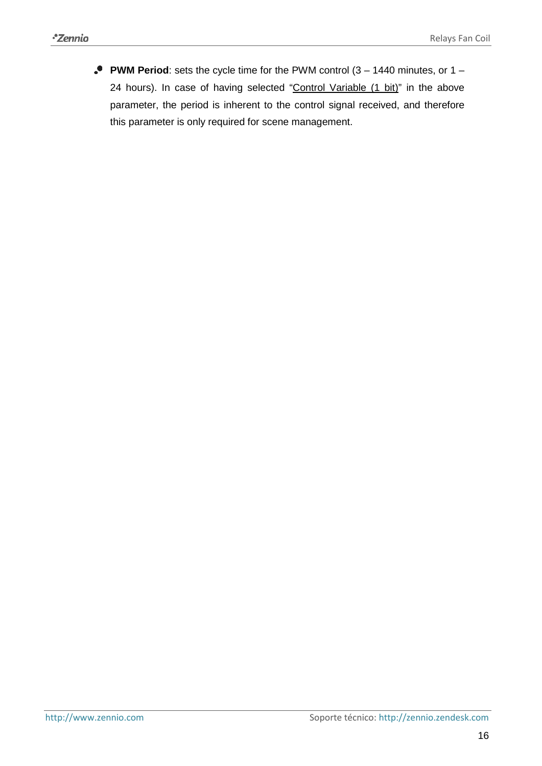**PWM Period**: sets the cycle time for the PWM control (3 – 1440 minutes, or 1 – 24 hours). In case of having selected "Control Variable (1 bit)" in the above parameter, the period is inherent to the control signal received, and therefore this parameter is only required for scene management.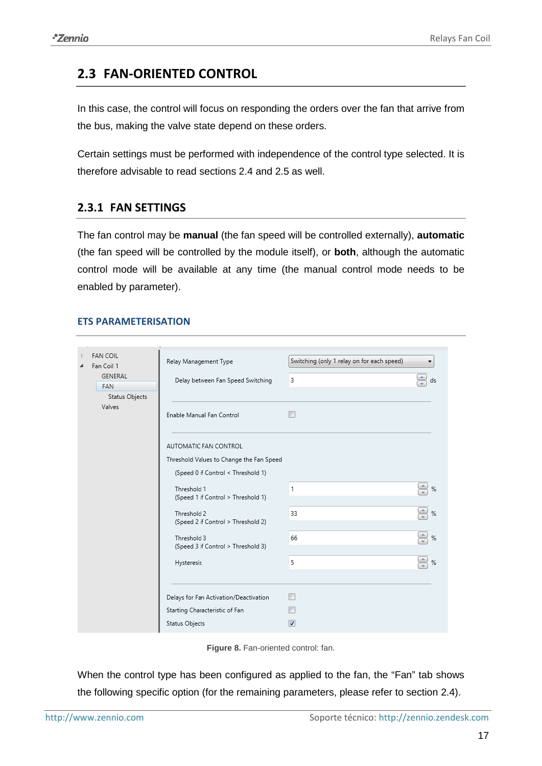### <span id="page-16-0"></span>**2.3 FAN-ORIENTED CONTROL**

In this case, the control will focus on responding the orders over the fan that arrive from the bus, making the valve state depend on these orders.

Certain settings must be performed with independence of the control type selected. It is therefore advisable to read sections [2.4](#page-21-0) and [2.5](#page-27-0) as well.

#### <span id="page-16-1"></span>**2.3.1 FAN SETTINGS**

The fan control may be **manual** (the fan speed will be controlled externally), **automatic**  (the fan speed will be controlled by the module itself), or **both**, although the automatic control mode will be available at any time (the manual control mode needs to be enabled by parameter).

#### **ETS PARAMETERISATION**

| <b>FAN COIL</b><br>Þ<br>Fan Coil 1<br>GENERAL<br><b>FAN</b> | Relay Management Type<br>Delay between Fan Speed Switching                                              | Switching (only 1 relay on for each speed)<br>۰<br>÷<br>3<br>ds |  |
|-------------------------------------------------------------|---------------------------------------------------------------------------------------------------------|-----------------------------------------------------------------|--|
| Status Objects<br>Valves                                    | Enable Manual Fan Control                                                                               | П                                                               |  |
|                                                             | AUTOMATIC FAN CONTROL<br>Threshold Values to Change the Fan Speed<br>(Speed 0 if Control < Threshold 1) |                                                                 |  |
|                                                             | Threshold 1<br>(Speed 1 if Control > Threshold 1)                                                       | $\Leftrightarrow$ %<br>1                                        |  |
|                                                             | Threshold 2<br>(Speed 2 if Control > Threshold 2)                                                       | $\frac{1}{\sqrt{2}}$<br>33<br>$\%$                              |  |
|                                                             | Threshold 3<br>(Speed 3 if Control > Threshold 3)                                                       | $\bigoplus_{\infty}$ %<br>66                                    |  |
|                                                             | Hysteresis                                                                                              | $\div$<br>$\%$<br>5                                             |  |
|                                                             | Delays for Fan Activation/Deactivation                                                                  | П                                                               |  |
|                                                             | Starting Characteristic of Fan<br>Status Objects                                                        | $\overline{\mathcal{A}}$                                        |  |

**Figure 8.** Fan-oriented control: fan.

When the control type has been configured as applied to the fan, the "Fan" tab shows the following specific option (for the remaining parameters, please refer to section [2.4\)](#page-21-0).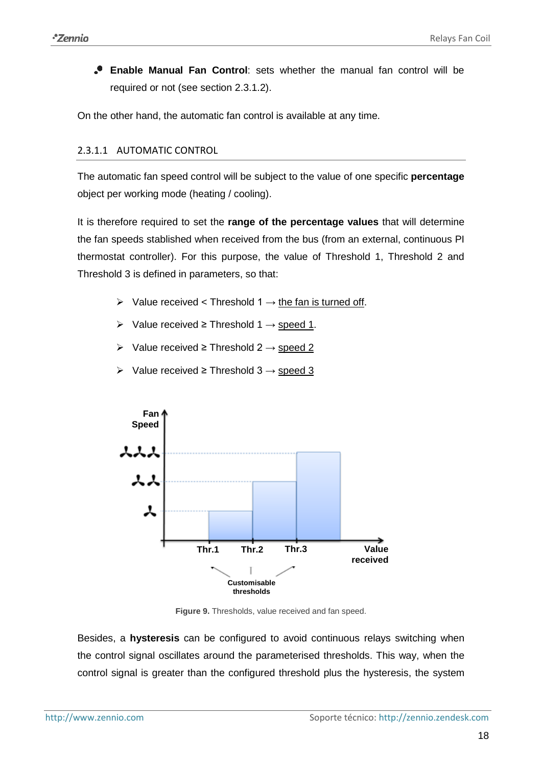**Enable Manual Fan Control**: sets whether the manual fan control will be required or not (see section [2.3.1.2\)](#page-18-0).

On the other hand, the automatic fan control is available at any time.

#### <span id="page-17-0"></span>2.3.1.1 AUTOMATIC CONTROL

The automatic fan speed control will be subject to the value of one specific **percentage** object per working mode (heating / cooling).

It is therefore required to set the **range of the percentage values** that will determine the fan speeds stablished when received from the bus (from an external, continuous PI thermostat controller). For this purpose, the value of Threshold 1, Threshold 2 and Threshold 3 is defined in parameters, so that:

- $\triangleright$  Value received < Threshold 1  $\rightarrow$  the fan is turned off.
- $\triangleright$  Value received ≥ Threshold 1  $\rightarrow$  speed 1.
- $\triangleright$  Value received ≥ Threshold 2  $\rightarrow$  speed 2
- $\triangleright$  Value received ≥ Threshold 3  $\rightarrow$  speed 3



**Figure 9.** Thresholds, value received and fan speed.

Besides, a **hysteresis** can be configured to avoid continuous relays switching when the control signal oscillates around the parameterised thresholds. This way, when the control signal is greater than the configured threshold plus the hysteresis, the system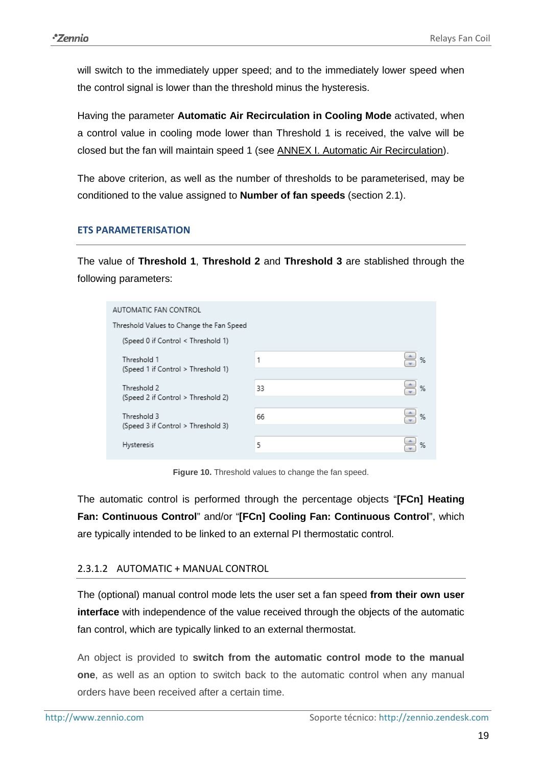will switch to the immediately upper speed; and to the immediately lower speed when the control signal is lower than the threshold minus the hysteresis.

Having the parameter **Automatic Air Recirculation in Cooling Mode** activated, when a control value in cooling mode lower than Threshold 1 is received, the valve will be closed but the fan will maintain speed 1 (see [ANNEX I. Automatic Air Recirculation\)](#page-37-0).

The above criterion, as well as the number of thresholds to be parameterised, may be conditioned to the value assigned to **Number of fan speeds** (section [2.1\)](#page-4-1).

#### **ETS PARAMETERISATION**

The value of **Threshold 1**, **Threshold 2** and **Threshold 3** are stablished through the following parameters:

| AUTOMATIC FAN CONTROL                             |    |   |  |  |
|---------------------------------------------------|----|---|--|--|
| Threshold Values to Change the Fan Speed          |    |   |  |  |
| (Speed 0 if Control < Threshold 1)                |    |   |  |  |
| Threshold 1<br>(Speed 1 if Control > Threshold 1) | 1  | % |  |  |
| Threshold 2                                       | 33 | % |  |  |
| (Speed 2 if Control > Threshold 2)                |    |   |  |  |
| Threshold 3                                       | 66 | % |  |  |
| (Speed 3 if Control > Threshold 3)                |    |   |  |  |
| Hysteresis                                        | 5  | % |  |  |
|                                                   |    |   |  |  |

**Figure 10.** Threshold values to change the fan speed.

The automatic control is performed through the percentage objects "**[FCn] Heating Fan: Continuous Control**" and/or "**[FCn] Cooling Fan: Continuous Control**", which are typically intended to be linked to an external PI thermostatic control.

#### <span id="page-18-0"></span>2.3.1.2 AUTOMATIC + MANUAL CONTROL

The (optional) manual control mode lets the user set a fan speed **from their own user interface** with independence of the value received through the objects of the automatic fan control, which are typically linked to an external thermostat.

An object is provided to **switch from the automatic control mode to the manual one**, as well as an option to switch back to the automatic control when any manual orders have been received after a certain time.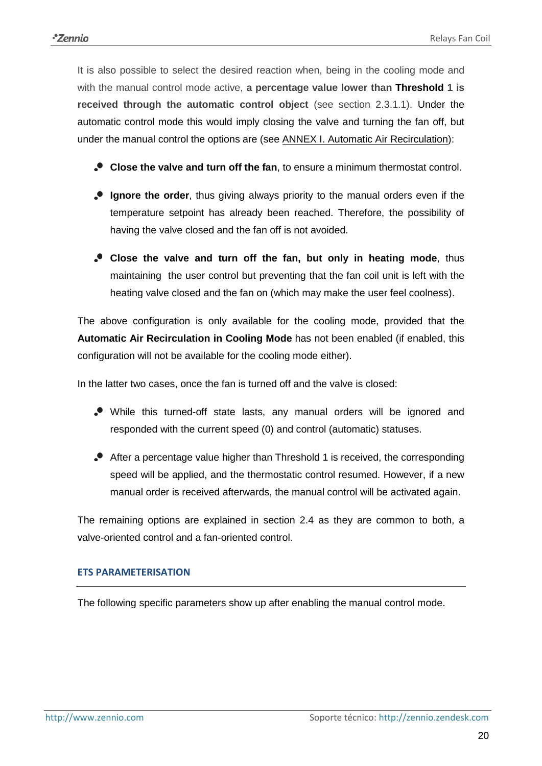It is also possible to select the desired reaction when, being in the cooling mode and with the manual control mode active, **a percentage value lower than Threshold 1 is received through the automatic control object** (see section [2.3.1.1\)](#page-17-0). Under the automatic control mode this would imply closing the valve and turning the fan off, but under the manual control the options are (see [ANNEX I. Automatic Air Recirculation\)](#page-37-0):

- **Close the valve and turn off the fan**, to ensure a minimum thermostat control.
- **Ignore the order**, thus giving always priority to the manual orders even if the temperature setpoint has already been reached. Therefore, the possibility of having the valve closed and the fan off is not avoided.
- **Close the valve and turn off the fan, but only in heating mode**, thus maintaining the user control but preventing that the fan coil unit is left with the heating valve closed and the fan on (which may make the user feel coolness).

The above configuration is only available for the cooling mode, provided that the **Automatic Air Recirculation in Cooling Mode** has not been enabled (if enabled, this configuration will not be available for the cooling mode either).

In the latter two cases, once the fan is turned off and the valve is closed:

- While this turned-off state lasts, any manual orders will be ignored and responded with the current speed (0) and control (automatic) statuses.
- After a percentage value higher than Threshold 1 is received, the corresponding speed will be applied, and the thermostatic control resumed. However, if a new manual order is received afterwards, the manual control will be activated again.

The remaining options are explained in section [2.4](#page-21-0) as they are common to both, a valve-oriented control and a fan-oriented control.

#### **ETS PARAMETERISATION**

The following specific parameters show up after enabling the manual control mode.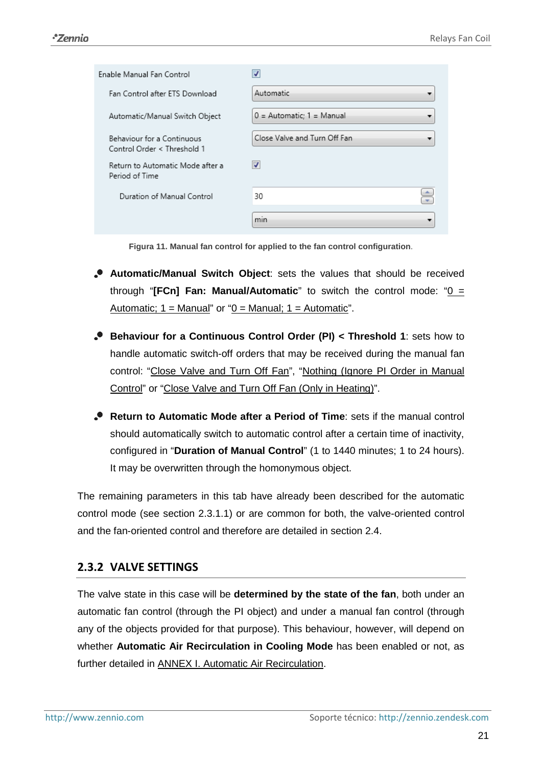| Enable Manual Fan Control                                 | ✔                            |
|-----------------------------------------------------------|------------------------------|
| Fan Control after ETS Download                            | Automatic                    |
| Automatic/Manual Switch Object                            | $0 =$ Automatic; 1 = Manual  |
| Behaviour for a Continuous<br>Control Order < Threshold 1 | Close Valve and Turn Off Fan |
| Return to Automatic Mode after a<br>Period of Time        | $\blacktriangledown$         |
| Duration of Manual Control                                | 30                           |
|                                                           | min                          |

**Figura 11. Manual fan control for applied to the fan control configuration**.

- **Automatic/Manual Switch Object**: sets the values that should be received through "**[FCn] Fan: Manual/Automatic**" to switch the control mode: " $0 =$ Automatic;  $1 =$  Manual" or " $0 =$  Manual;  $1 =$  Automatic".
- **Behaviour for a Continuous Control Order (PI) < Threshold 1**: sets how to handle automatic switch-off orders that may be received during the manual fan control: "Close Valve and Turn Off Fan", "Nothing (Ignore PI Order in Manual Control" or "Close Valve and Turn Off Fan (Only in Heating)".
- **Return to Automatic Mode after a Period of Time**: sets if the manual control should automatically switch to automatic control after a certain time of inactivity, configured in "**Duration of Manual Control**" (1 to 1440 minutes; 1 to 24 hours). It may be overwritten through the homonymous object.

The remaining parameters in this tab have already been described for the automatic control mode (see section [2.3.1.1\)](#page-17-0) or are common for both, the valve-oriented control and the fan-oriented control and therefore are detailed in section [2.4.](#page-21-0)

#### <span id="page-20-0"></span>**2.3.2 VALVE SETTINGS**

The valve state in this case will be **determined by the state of the fan**, both under an automatic fan control (through the PI object) and under a manual fan control (through any of the objects provided for that purpose). This behaviour, however, will depend on whether **Automatic Air Recirculation in Cooling Mode** has been enabled or not, as further detailed in [ANNEX I. Automatic Air Recirculation.](#page-37-0)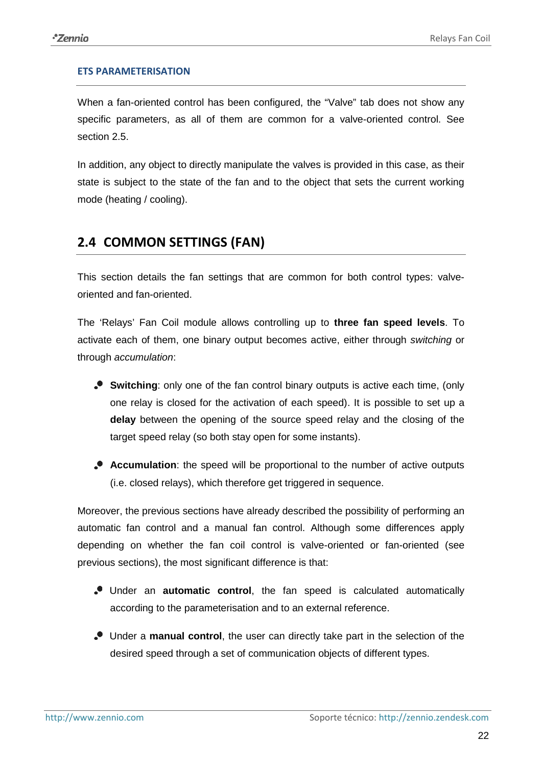#### **ETS PARAMETERISATION**

When a fan-oriented control has been configured, the "Valve" tab does not show any specific parameters, as all of them are common for a valve-oriented control. See section [2.5.](#page-27-0)

In addition, any object to directly manipulate the valves is provided in this case, as their state is subject to the state of the fan and to the object that sets the current working mode (heating / cooling).

### <span id="page-21-0"></span>**2.4 COMMON SETTINGS (FAN)**

This section details the fan settings that are common for both control types: valveoriented and fan-oriented.

The 'Relays' Fan Coil module allows controlling up to **three fan speed levels**. To activate each of them, one binary output becomes active, either through *switching* or through *accumulation*:

- **Switching**: only one of the fan control binary outputs is active each time, (only one relay is closed for the activation of each speed). It is possible to set up a **delay** between the opening of the source speed relay and the closing of the target speed relay (so both stay open for some instants).
- **Accumulation**: the speed will be proportional to the number of active outputs (i.e. closed relays), which therefore get triggered in sequence.

Moreover, the previous sections have already described the possibility of performing an automatic fan control and a manual fan control. Although some differences apply depending on whether the fan coil control is valve-oriented or fan-oriented (see previous sections), the most significant difference is that:

- Under an **automatic control**, the fan speed is calculated automatically according to the parameterisation and to an external reference.
- Under a **manual control**, the user can directly take part in the selection of the desired speed through a set of communication objects of different types.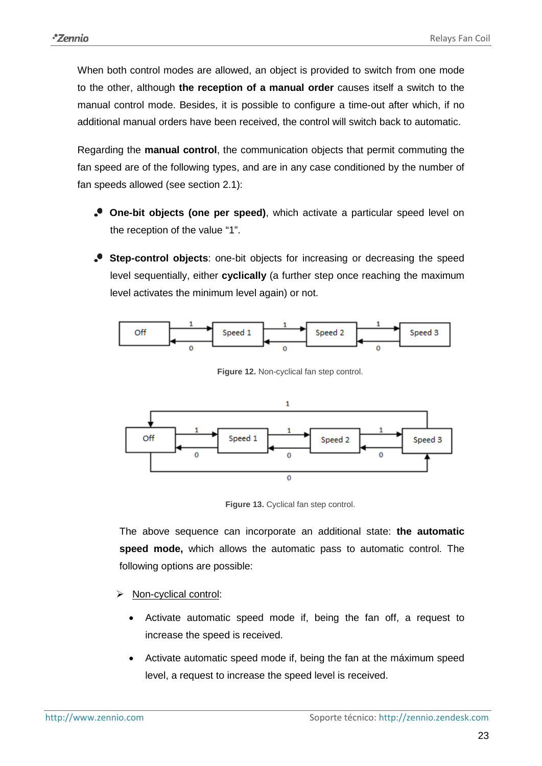When both control modes are allowed, an object is provided to switch from one mode to the other, although **the reception of a manual order** causes itself a switch to the manual control mode. Besides, it is possible to configure a time-out after which, if no additional manual orders have been received, the control will switch back to automatic.

Regarding the **manual control**, the communication objects that permit commuting the fan speed are of the following types, and are in any case conditioned by the number of fan speeds allowed (see section [2.1\)](#page-4-1):

- **One-bit objects (one per speed)**, which activate a particular speed level on the reception of the value "1".
- **Step-control objects**: one-bit objects for increasing or decreasing the speed level sequentially, either **cyclically** (a further step once reaching the maximum level activates the minimum level again) or not.



**Figure 12.** Non-cyclical fan step control.



**Figure 13.** Cyclical fan step control.

The above sequence can incorporate an additional state: **the automatic speed mode,** which allows the automatic pass to automatic control. The following options are possible:

- Non-cyclical control:
	- Activate automatic speed mode if, being the fan off, a request to increase the speed is received.
	- Activate automatic speed mode if, being the fan at the máximum speed level, a request to increase the speed level is received.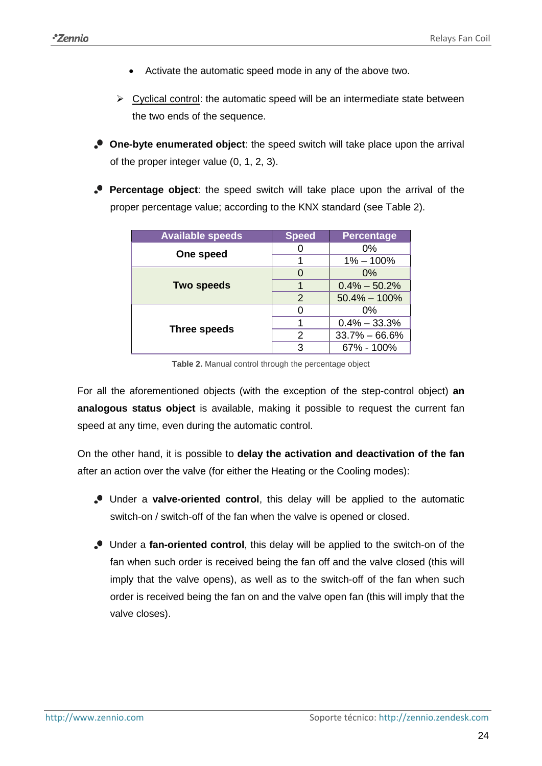- Activate the automatic speed mode in any of the above two.
- $\triangleright$  Cyclical control: the automatic speed will be an intermediate state between the two ends of the sequence.
- **One-byte enumerated object**: the speed switch will take place upon the arrival of the proper integer value (0, 1, 2, 3).
- **Percentage object**: the speed switch will take place upon the arrival of the proper percentage value; according to the KNX standard (see [Table 2\)](#page-23-0).

| <b>Available speeds</b> | <b>Speed</b> | <b>Percentage</b> |
|-------------------------|--------------|-------------------|
| One speed               |              | $0\%$             |
|                         |              | $1\% - 100\%$     |
|                         |              | $0\%$             |
| <b>Two speeds</b>       |              | $0.4\% - 50.2\%$  |
|                         | 2            | $50.4\% - 100\%$  |
|                         |              | $0\%$             |
| Three speeds            |              | $0.4\% - 33.3\%$  |
|                         | 2            | $33.7\% - 66.6\%$ |
|                         | З            | 67% - 100%        |

**Table 2.** Manual control through the percentage object

<span id="page-23-0"></span>For all the aforementioned objects (with the exception of the step-control object) **an analogous status object** is available, making it possible to request the current fan speed at any time, even during the automatic control.

On the other hand, it is possible to **delay the activation and deactivation of the fan** after an action over the valve (for either the Heating or the Cooling modes):

- Under a **valve-oriented control**, this delay will be applied to the automatic switch-on / switch-off of the fan when the valve is opened or closed.
- Under a **fan-oriented control**, this delay will be applied to the switch-on of the fan when such order is received being the fan off and the valve closed (this will imply that the valve opens), as well as to the switch-off of the fan when such order is received being the fan on and the valve open fan (this will imply that the valve closes).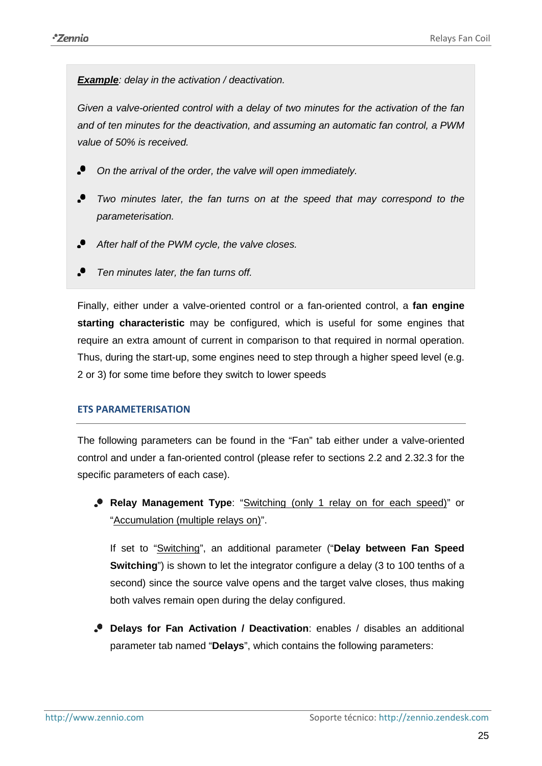*Example: delay in the activation / deactivation.*

*Given a valve-oriented control with a delay of two minutes for the activation of the fan and of ten minutes for the deactivation, and assuming an automatic fan control, a PWM value of 50% is received.*

- °. *On the arrival of the order, the valve will open immediately.*
- $\cdot$ *Two minutes later, the fan turns on at the speed that may correspond to the parameterisation.*
- $\cdot$ *After half of the PWM cycle, the valve closes.*
- °. *Ten minutes later, the fan turns off.*

Finally, either under a valve-oriented control or a fan-oriented control, a **fan engine starting characteristic** may be configured, which is useful for some engines that require an extra amount of current in comparison to that required in normal operation. Thus, during the start-up, some engines need to step through a higher speed level (e.g. 2 or 3) for some time before they switch to lower speeds

#### **ETS PARAMETERISATION**

The following parameters can be found in the "Fan" tab either under a valve-oriented control and under a fan-oriented control (please refer to sections [2.2](#page-8-0) and [2.32.3](#page-16-0) for the specific parameters of each case).

**Relay Management Type**: "Switching (only 1 relay on for each speed)" or "Accumulation (multiple relays on)".

If set to "Switching", an additional parameter ("**Delay between Fan Speed Switching**") is shown to let the integrator configure a delay (3 to 100 tenths of a second) since the source valve opens and the target valve closes, thus making both valves remain open during the delay configured.

**Delays for Fan Activation / Deactivation**: enables / disables an additional parameter tab named "**Delays**", which contains the following parameters: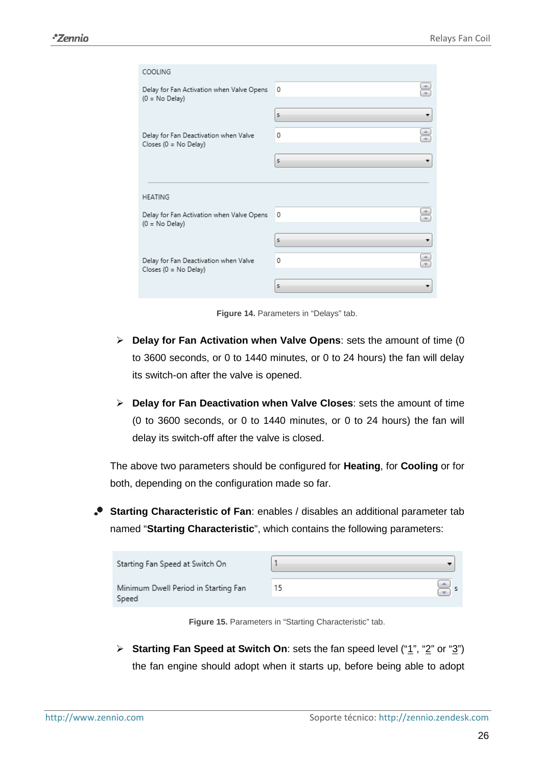| COOLING                                                           |        |
|-------------------------------------------------------------------|--------|
| Delay for Fan Activation when Valve Opens                         | 0      |
| $(0 = No$ Delay)                                                  |        |
|                                                                   | s<br>▼ |
| Delay for Fan Deactivation when Valve<br>Closes ( $0 = No$ Delay) | ۰<br>0 |
|                                                                   | s      |
|                                                                   |        |
| <b>HEATING</b>                                                    |        |
| Delay for Fan Activation when Valve Opens<br>$(0 = No$ Delay)     | 0      |
|                                                                   | s      |
|                                                                   |        |
| Delay for Fan Deactivation when Valve<br>Closes (0 = No Delay)    | ۸<br>0 |
|                                                                   |        |
|                                                                   | 5      |

**Figure 14.** Parameters in "Delays" tab.

- **Delay for Fan Activation when Valve Opens**: sets the amount of time (0 to 3600 seconds, or 0 to 1440 minutes, or 0 to 24 hours) the fan will delay its switch-on after the valve is opened.
- **Delay for Fan Deactivation when Valve Closes**: sets the amount of time (0 to 3600 seconds, or 0 to 1440 minutes, or 0 to 24 hours) the fan will delay its switch-off after the valve is closed.

The above two parameters should be configured for **Heating**, for **Cooling** or for both, depending on the configuration made so far.

**Starting Characteristic of Fan**: enables / disables an additional parameter tab named "**Starting Characteristic**", which contains the following parameters:

| Starting Fan Speed at Switch On               |  |
|-----------------------------------------------|--|
| Minimum Dwell Period in Starting Fan<br>Speed |  |

**Figure 15.** Parameters in "Starting Characteristic" tab.

**Example 5 Starting Fan Speed at Switch On:** sets the fan speed level ("1", "2" or "3") the fan engine should adopt when it starts up, before being able to adopt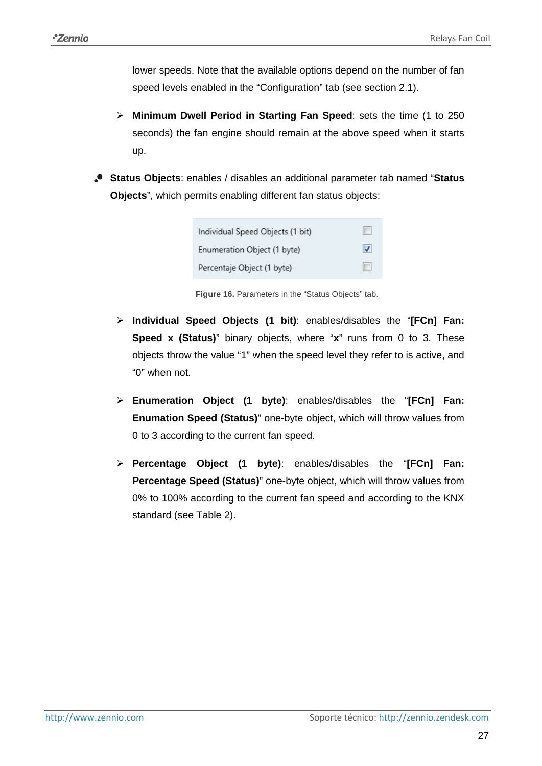lower speeds. Note that the available options depend on the number of fan speed levels enabled in the "Configuration" tab (see section [2.1\)](#page-4-1).

- **Minimum Dwell Period in Starting Fan Speed**: sets the time (1 to 250 seconds) the fan engine should remain at the above speed when it starts up.
- **Status Objects**: enables / disables an additional parameter tab named "**Status Objects**", which permits enabling different fan status objects:

| Individual Speed Objects (1 bit) |    |
|----------------------------------|----|
| Enumeration Object (1 byte)      | IJ |
| Percentaje Object (1 byte)       |    |

**Figure 16.** Parameters in the "Status Objects" tab.

- **Individual Speed Objects (1 bit)**: enables/disables the "**[FCn] Fan: Speed x (Status)**" binary objects, where "**x**" runs from 0 to 3. These objects throw the value "1" when the speed level they refer to is active, and "0" when not.
- **Enumeration Object (1 byte)**: enables/disables the "**[FCn] Fan: Enumation Speed (Status)**" one-byte object, which will throw values from 0 to 3 according to the current fan speed.
- **Percentage Object (1 byte)**: enables/disables the "**[FCn] Fan: Percentage Speed (Status)**" one-byte object, which will throw values from 0% to 100% according to the current fan speed and according to the KNX standard (see [Table 2\)](#page-23-0).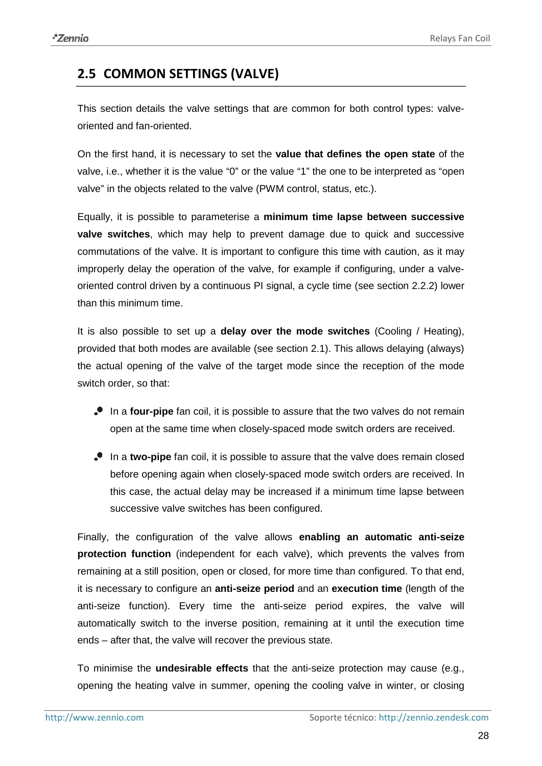# <span id="page-27-0"></span>**2.5 COMMON SETTINGS (VALVE)**

This section details the valve settings that are common for both control types: valveoriented and fan-oriented.

On the first hand, it is necessary to set the **value that defines the open state** of the valve, i.e., whether it is the value "0" or the value "1" the one to be interpreted as "open valve" in the objects related to the valve (PWM control, status, etc.).

Equally, it is possible to parameterise a **minimum time lapse between successive valve switches**, which may help to prevent damage due to quick and successive commutations of the valve. It is important to configure this time with caution, as it may improperly delay the operation of the valve, for example if configuring, under a valveoriented control driven by a continuous PI signal, a cycle time (see section [2.2.2\)](#page-13-0) lower than this minimum time.

It is also possible to set up a **delay over the mode switches** (Cooling / Heating), provided that both modes are available (see section [2.1\)](#page-4-1). This allows delaying (always) the actual opening of the valve of the target mode since the reception of the mode switch order, so that:

- In a **four-pipe** fan coil, it is possible to assure that the two valves do not remain open at the same time when closely-spaced mode switch orders are received.
- In a **two-pipe** fan coil, it is possible to assure that the valve does remain closed before opening again when closely-spaced mode switch orders are received. In this case, the actual delay may be increased if a minimum time lapse between successive valve switches has been configured.

Finally, the configuration of the valve allows **enabling an automatic anti-seize protection function** (independent for each valve), which prevents the valves from remaining at a still position, open or closed, for more time than configured. To that end, it is necessary to configure an **anti-seize period** and an **execution time** (length of the anti-seize function). Every time the anti-seize period expires, the valve will automatically switch to the inverse position, remaining at it until the execution time ends – after that, the valve will recover the previous state.

To minimise the **undesirable effects** that the anti-seize protection may cause (e.g., opening the heating valve in summer, opening the cooling valve in winter, or closing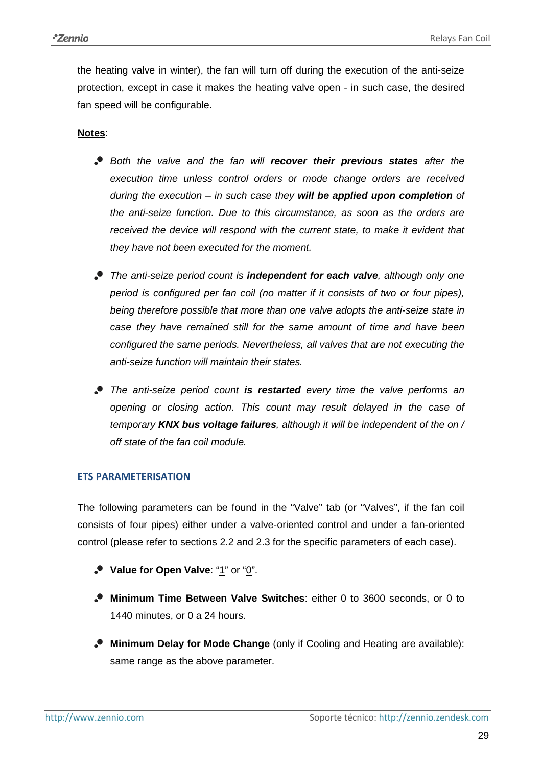the heating valve in winter), the fan will turn off during the execution of the anti-seize protection, except in case it makes the heating valve open - in such case, the desired fan speed will be configurable.

#### **Notes**:

- *Both the valve and the fan will recover their previous states after the execution time unless control orders or mode change orders are received during the execution – in such case they will be applied upon completion of the anti-seize function. Due to this circumstance, as soon as the orders are received the device will respond with the current state, to make it evident that they have not been executed for the moment.*
- *The anti-seize period count is independent for each valve, although only one period is configured per fan coil (no matter if it consists of two or four pipes), being therefore possible that more than one valve adopts the anti-seize state in case they have remained still for the same amount of time and have been configured the same periods. Nevertheless, all valves that are not executing the anti-seize function will maintain their states.*
- *The anti-seize period count is restarted every time the valve performs an opening or closing action. This count may result delayed in the case of temporary KNX bus voltage failures, although it will be independent of the on / off state of the fan coil module.*

#### **ETS PARAMETERISATION**

The following parameters can be found in the "Valve" tab (or "Valves", if the fan coil consists of four pipes) either under a valve-oriented control and under a fan-oriented control (please refer to sections [2.2](#page-8-0) and [2.3](#page-16-0) for the specific parameters of each case).

- **Value for Open Valve**: "1" or "0".
- **Minimum Time Between Valve Switches**: either 0 to 3600 seconds, or 0 to 1440 minutes, or 0 a 24 hours.
- **Minimum Delay for Mode Change** (only if Cooling and Heating are available): same range as the above parameter.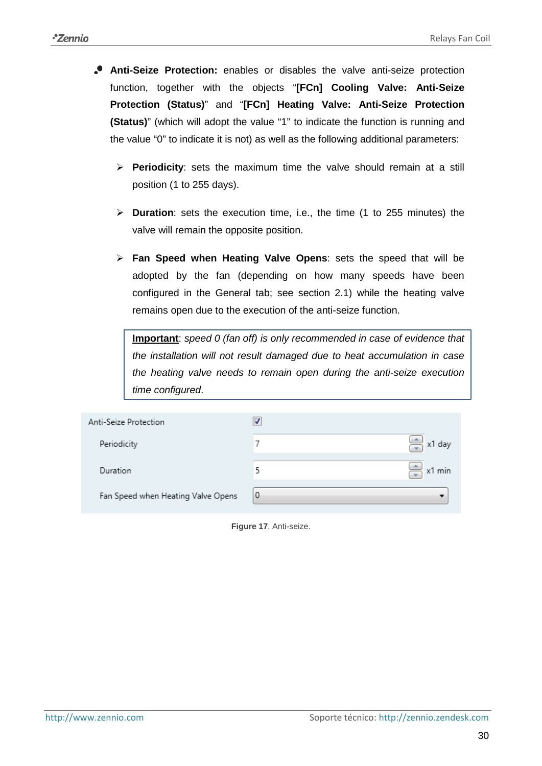- **Anti-Seize Protection:** enables or disables the valve anti-seize protection function, together with the objects "**[FCn] Cooling Valve: Anti-Seize Protection (Status)**" and "**[FCn] Heating Valve: Anti-Seize Protection (Status)**" (which will adopt the value "1" to indicate the function is running and the value "0" to indicate it is not) as well as the following additional parameters:
	- **Periodicity**: sets the maximum time the valve should remain at a still position (1 to 255 days).
	- **Duration**: sets the execution time, i.e., the time (1 to 255 minutes) the valve will remain the opposite position.
	- **Fan Speed when Heating Valve Opens**: sets the speed that will be adopted by the fan (depending on how many speeds have been configured in the General tab; see section [2.1\)](#page-4-1) while the heating valve remains open due to the execution of the anti-seize function.

**Important**: *speed 0 (fan off) is only recommended in case of evidence that the installation will not result damaged due to heat accumulation in case the heating valve needs to remain open during the anti-seize execution time configured*.

| Anti-Seize Protection              | √        |                      |
|------------------------------------|----------|----------------------|
| Periodicity                        |          | $\Rightarrow$ x1 day |
| Duration                           |          | $\Rightarrow$ x1 min |
| Fan Speed when Heating Valve Opens | $\theta$ |                      |

**Figure 17**. Anti-seize.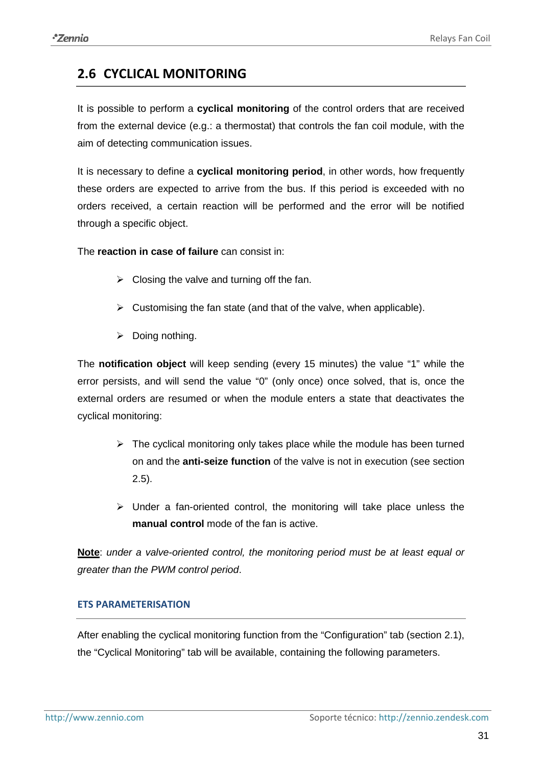## <span id="page-30-0"></span>**2.6 CYCLICAL MONITORING**

It is possible to perform a **cyclical monitoring** of the control orders that are received from the external device (e.g.: a thermostat) that controls the fan coil module, with the aim of detecting communication issues.

It is necessary to define a **cyclical monitoring period**, in other words, how frequently these orders are expected to arrive from the bus. If this period is exceeded with no orders received, a certain reaction will be performed and the error will be notified through a specific object.

The **reaction in case of failure** can consist in:

- $\triangleright$  Closing the valve and turning off the fan.
- $\triangleright$  Customising the fan state (and that of the valve, when applicable).
- $\triangleright$  Doing nothing.

The **notification object** will keep sending (every 15 minutes) the value "1" while the error persists, and will send the value "0" (only once) once solved, that is, once the external orders are resumed or when the module enters a state that deactivates the cyclical monitoring:

- $\triangleright$  The cyclical monitoring only takes place while the module has been turned on and the **anti-seize function** of the valve is not in execution (see section [2.5\)](#page-27-0).
- $\triangleright$  Under a fan-oriented control, the monitoring will take place unless the **manual control** mode of the fan is active.

**Note**: *under a valve-oriented control, the monitoring period must be at least equal or greater than the PWM control period*.

#### **ETS PARAMETERISATION**

After enabling the cyclical monitoring function from the "Configuration" tab (section [2.1\)](#page-4-1), the "Cyclical Monitoring" tab will be available, containing the following parameters.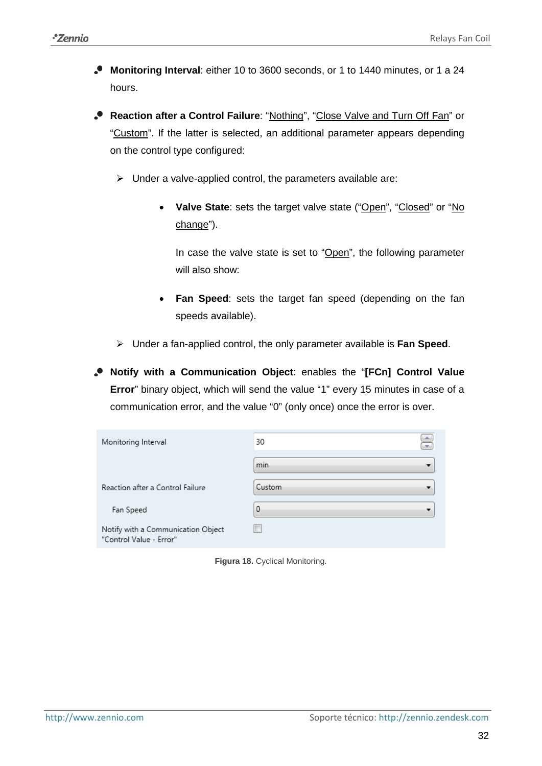- **Monitoring Interval**: either 10 to 3600 seconds, or 1 to 1440 minutes, or 1 a 24 hours.
- **Reaction after a Control Failure**: "Nothing", "Close Valve and Turn Off Fan" or "Custom". If the latter is selected, an additional parameter appears depending on the control type configured:
	- $\triangleright$  Under a valve-applied control, the parameters available are:
		- Valve State: sets the target valve state ("Open", "Closed" or "No change").

In case the valve state is set to "Open", the following parameter will also show:

- **Fan Speed**: sets the target fan speed (depending on the fan speeds available).
- Under a fan-applied control, the only parameter available is **Fan Speed**.

**Notify with a Communication Object**: enables the "**[FCn] Control Value Error**" binary object, which will send the value "1" every 15 minutes in case of a communication error, and the value "0" (only once) once the error is over.

| Monitoring Interval                                           | ÷<br>30  |  |  |
|---------------------------------------------------------------|----------|--|--|
|                                                               | min      |  |  |
| Reaction after a Control Failure                              | Custom   |  |  |
| Fan Speed                                                     | $\Omega$ |  |  |
| Notify with a Communication Object<br>"Control Value - Error" |          |  |  |

**Figura 18.** Cyclical Monitoring.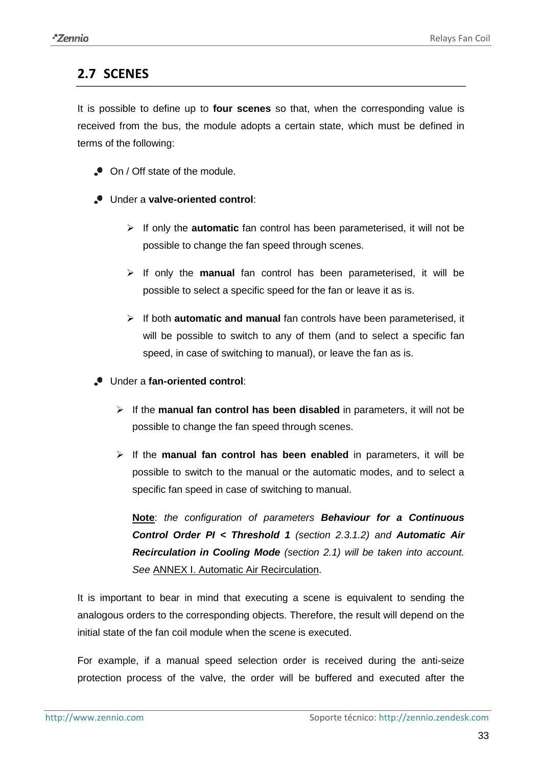### <span id="page-32-0"></span>**2.7 SCENES**

It is possible to define up to **four scenes** so that, when the corresponding value is received from the bus, the module adopts a certain state, which must be defined in terms of the following:

- On / Off state of the module.
- Under a **valve-oriented control**:
	- If only the **automatic** fan control has been parameterised, it will not be possible to change the fan speed through scenes.
	- $\triangleright$  If only the **manual** fan control has been parameterised, it will be possible to select a specific speed for the fan or leave it as is.
	- If both **automatic and manual** fan controls have been parameterised, it will be possible to switch to any of them (and to select a specific fan speed, in case of switching to manual), or leave the fan as is.
- Under a **fan-oriented control**:
	- If the **manual fan control has been disabled** in parameters, it will not be possible to change the fan speed through scenes.
	- $\triangleright$  If the **manual fan control has been enabled** in parameters, it will be possible to switch to the manual or the automatic modes, and to select a specific fan speed in case of switching to manual.

**Note**: *the configuration of parameters Behaviour for a Continuous Control Order PI < Threshold 1 (section [2.3.1.2\)](#page-18-0) and Automatic Air Recirculation in Cooling Mode (section [2.1\)](#page-4-1) will be taken into account. See* [ANNEX I. Automatic Air Recirculation.](#page-37-0)

It is important to bear in mind that executing a scene is equivalent to sending the analogous orders to the corresponding objects. Therefore, the result will depend on the initial state of the fan coil module when the scene is executed.

For example, if a manual speed selection order is received during the anti-seize protection process of the valve, the order will be buffered and executed after the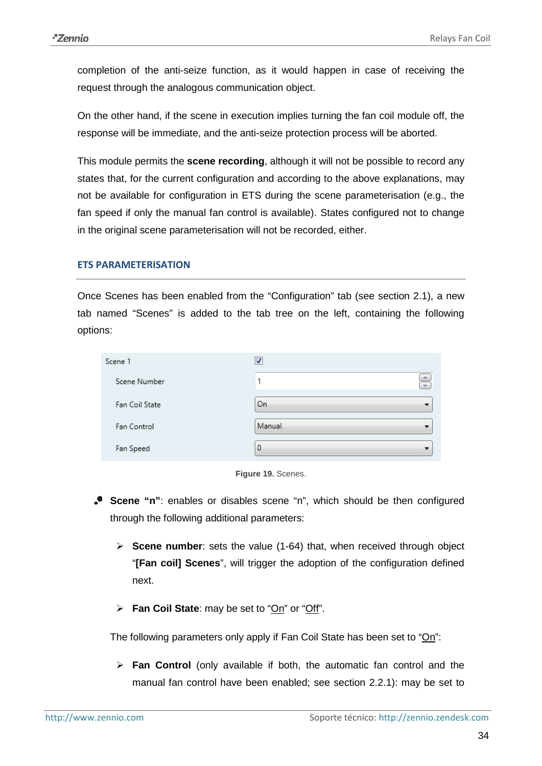completion of the anti-seize function, as it would happen in case of receiving the request through the analogous communication object.

On the other hand, if the scene in execution implies turning the fan coil module off, the response will be immediate, and the anti-seize protection process will be aborted.

This module permits the **scene recording**, although it will not be possible to record any states that, for the current configuration and according to the above explanations, may not be available for configuration in ETS during the scene parameterisation (e.g., the fan speed if only the manual fan control is available). States configured not to change in the original scene parameterisation will not be recorded, either.

#### **ETS PARAMETERISATION**

Once Scenes has been enabled from the "Configuration" tab (see section [2.1\)](#page-4-1), a new tab named "Scenes" is added to the tab tree on the left, containing the following options:

| Scene 1        | V             |
|----------------|---------------|
| Scene Number   | $\Rightarrow$ |
| Fan Coil State | On            |
| Fan Control    | Manual        |
| Fan Speed      | 0             |



- **Scene "n"**: enables or disables scene "n", which should be then configured through the following additional parameters:
	- **Scene number**: sets the value (1-64) that, when received through object "**[Fan coil] Scenes**", will trigger the adoption of the configuration defined next.
	- **Fan Coil State**: may be set to "On" or "Off".

The following parameters only apply if Fan Coil State has been set to "On":

 **Fan Control** (only available if both, the automatic fan control and the manual fan control have been enabled; see section [2.2.1\)](#page-8-1): may be set to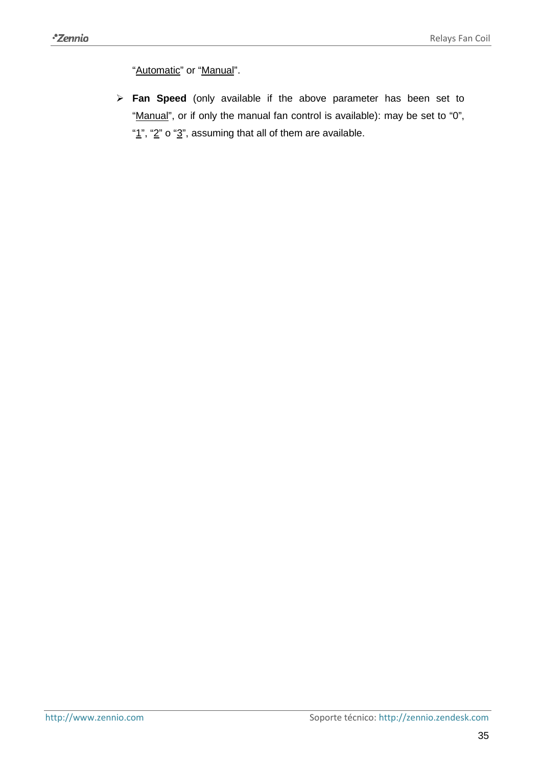"Automatic" or "Manual".

<span id="page-34-0"></span> **Fan Speed** (only available if the above parameter has been set to "Manual", or if only the manual fan control is available): may be set to "0", " $1$ ", " $2$ " o " $3$ ", assuming that all of them are available.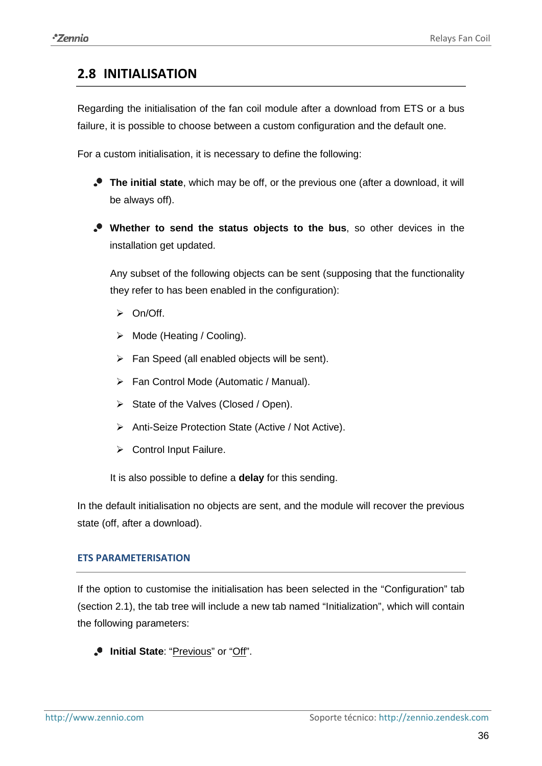### <span id="page-35-0"></span>**2.8 INITIALISATION**

Regarding the initialisation of the fan coil module after a download from ETS or a bus failure, it is possible to choose between a custom configuration and the default one.

For a custom initialisation, it is necessary to define the following:

- **The initial state**, which may be off, or the previous one (after a download, it will be always off).
- **Whether to send the status objects to the bus**, so other devices in the installation get updated.

Any subset of the following objects can be sent (supposing that the functionality they refer to has been enabled in the configuration):

- $\triangleright$  On/Off.
- $\triangleright$  Mode (Heating / Cooling).
- $\triangleright$  Fan Speed (all enabled objects will be sent).
- Fan Control Mode (Automatic / Manual).
- $\triangleright$  State of the Valves (Closed / Open).
- ▶ Anti-Seize Protection State (Active / Not Active).
- $\triangleright$  Control Input Failure.

It is also possible to define a **delay** for this sending.

In the default initialisation no objects are sent, and the module will recover the previous state (off, after a download).

#### **ETS PARAMETERISATION**

If the option to customise the initialisation has been selected in the "Configuration" tab (section [2.1\)](#page-4-1), the tab tree will include a new tab named "Initialization", which will contain the following parameters:

**Initial State**: "Previous" or "Off".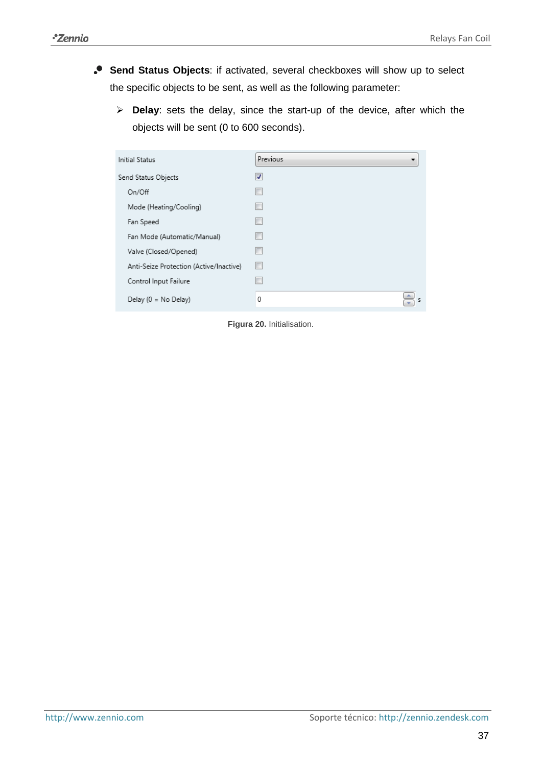- **Send Status Objects**: if activated, several checkboxes will show up to select the specific objects to be sent, as well as the following parameter:
	- **Delay**: sets the delay, since the start-up of the device, after which the objects will be sent (0 to 600 seconds).

| Initial Status                          | Previous |
|-----------------------------------------|----------|
| Send Status Objects                     | √        |
| On/Off                                  |          |
| Mode (Heating/Cooling)                  | П        |
| Fan Speed                               | $\Box$   |
| Fan Mode (Automatic/Manual)             | $\Box$   |
| Valve (Closed/Opened)                   | П        |
| Anti-Seize Protection (Active/Inactive) | $\Box$   |
| Control Input Failure                   | П        |
| Delay (0 = No Delay)                    | 0<br>s   |

**Figura 20.** Initialisation.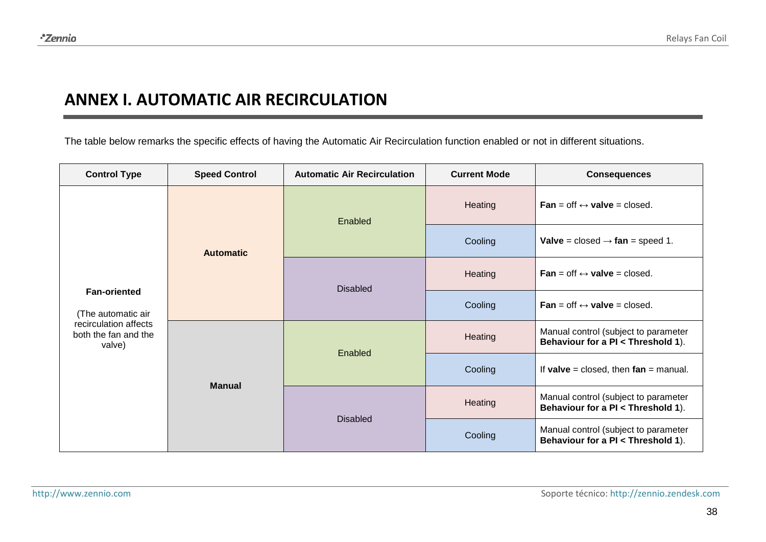# **ANNEX I. AUTOMATIC AIR RECIRCULATION**

The table below remarks the specific effects of having the Automatic Air Recirculation function enabled or not in different situations.

<span id="page-37-0"></span>

| <b>Control Type</b>                                                                                                   | <b>Speed Control</b> | <b>Automatic Air Recirculation</b> | <b>Current Mode</b>                                | <b>Consequences</b>                                                        |
|-----------------------------------------------------------------------------------------------------------------------|----------------------|------------------------------------|----------------------------------------------------|----------------------------------------------------------------------------|
|                                                                                                                       |                      | Enabled                            | Heating                                            | <b>Fan</b> = off $\leftrightarrow$ valve = closed.                         |
|                                                                                                                       | <b>Automatic</b>     |                                    | Cooling                                            | <b>Valve</b> = closed $\rightarrow$ fan = speed 1.                         |
| <b>Fan-oriented</b><br>(The automatic air<br>recirculation affects<br>both the fan and the<br>valve)<br><b>Manual</b> | <b>Disabled</b>      | Heating                            | <b>Fan</b> = off $\leftrightarrow$ valve = closed. |                                                                            |
|                                                                                                                       |                      |                                    | Cooling                                            | <b>Fan</b> = off $\leftrightarrow$ valve = closed.                         |
|                                                                                                                       |                      | Enabled                            | Heating                                            | Manual control (subject to parameter<br>Behaviour for a PI < Threshold 1). |
|                                                                                                                       |                      |                                    | Cooling                                            | If valve = closed, then $fan = manual$ .                                   |
|                                                                                                                       |                      | <b>Disabled</b>                    | Heating                                            | Manual control (subject to parameter<br>Behaviour for a PI < Threshold 1). |
|                                                                                                                       |                      |                                    | Cooling                                            | Manual control (subject to parameter<br>Behaviour for a PI < Threshold 1). |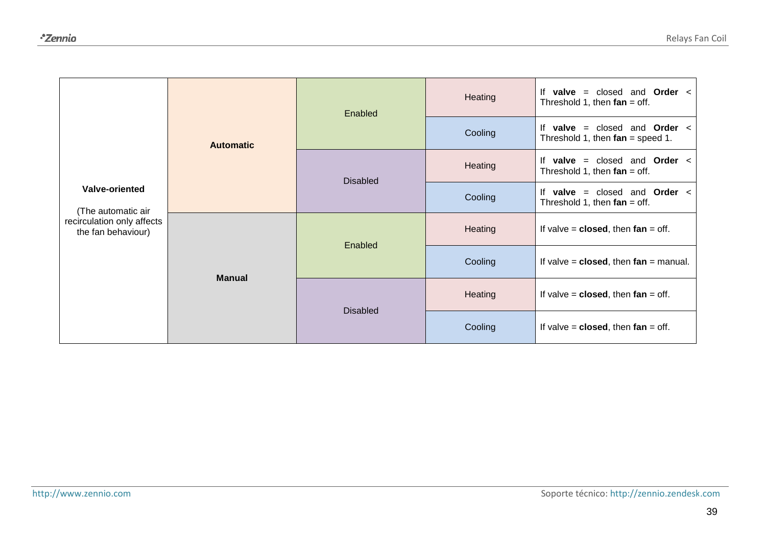| <b>Valve-oriented</b><br>(The automatic air<br>recirculation only affects<br>the fan behaviour) | <b>Automatic</b> | Enabled         | Heating        | <b>valve</b> = closed and <b>Order</b> $\lt$<br>lf<br>Threshold 1, then $fan = off$ .      |
|-------------------------------------------------------------------------------------------------|------------------|-----------------|----------------|--------------------------------------------------------------------------------------------|
|                                                                                                 |                  |                 | Cooling        | If<br>closed and <b>Order</b> $\lt$<br>valve<br>$=$<br>Threshold 1, then $fan = speed 1$ . |
|                                                                                                 |                  | <b>Disabled</b> | <b>Heating</b> | closed and <b>Order</b> <<br>If<br>valve $=$<br>Threshold 1, then $fan = off$ .            |
|                                                                                                 |                  |                 | Cooling        | and <b>Order</b> <<br>If<br>valve $=$<br>closed<br>Threshold 1, then $fan = off$ .         |
|                                                                                                 | <b>Manual</b>    | Enabled         | Heating        | If valve $=$ closed, then fan $=$ off.                                                     |
|                                                                                                 |                  |                 | Cooling        | If valve $=$ closed, then $fan = manual$ .                                                 |
|                                                                                                 |                  | <b>Disabled</b> | Heating        | If valve $=$ closed, then fan $=$ off.                                                     |
|                                                                                                 |                  |                 | Cooling        | If valve $=$ closed, then $fan = off$ .                                                    |